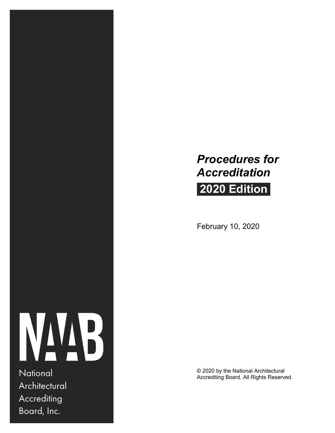# *Procedures for Accreditation*

# **2020 Edition**

February 10, 2020



**Architectural Accrediting** Board, Inc.

© 2020 by the National Architectural National Accrediting Board. All Rights Reserved.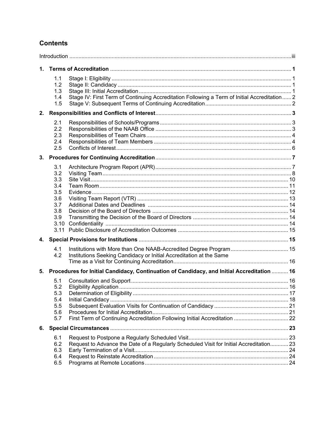### **Contents**

| $\mathbf{1}$ . |                                                                                                                                  |  |
|----------------|----------------------------------------------------------------------------------------------------------------------------------|--|
|                | 1.1<br>1.2<br>1.3<br>Stage IV: First Term of Continuing Accreditation Following a Term of Initial Accreditation  2<br>1.4<br>1.5 |  |
|                |                                                                                                                                  |  |
|                | 2.1<br>2.2<br>2.3<br>2.4<br>2.5                                                                                                  |  |
|                |                                                                                                                                  |  |
|                | 3.1<br>3.2<br>3.3<br>3.4<br>3.5<br>3.6<br>3.7<br>3.8<br>3.9                                                                      |  |
|                |                                                                                                                                  |  |
|                | 4.1<br>Institutions Seeking Candidacy or Initial Accreditation at the Same<br>4.2                                                |  |
|                | 5. Procedures for Initial Candidacy, Continuation of Candidacy, and Initial Accreditation  16                                    |  |
|                | 5.1<br>5.2<br>5.3<br>5.4<br>5.5<br>5.6<br>First Term of Continuing Accreditation Following Initial Accreditation  22<br>5.7      |  |
| 6.             |                                                                                                                                  |  |
|                | 6.1<br>6.2<br>Request to Advance the Date of a Regularly Scheduled Visit for Initial Accreditation 23<br>6.3<br>6.4<br>6.5       |  |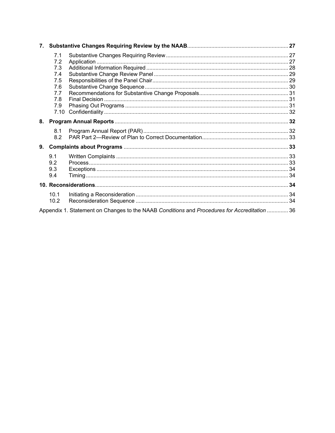|    | 7.1  |                                                                                              |  |
|----|------|----------------------------------------------------------------------------------------------|--|
|    | 7.2  |                                                                                              |  |
|    | 7.3  |                                                                                              |  |
|    | 7.4  |                                                                                              |  |
|    | 7.5  |                                                                                              |  |
|    | 7.6  |                                                                                              |  |
|    | 7.7  |                                                                                              |  |
|    | 7.8  |                                                                                              |  |
|    | 7.9  |                                                                                              |  |
|    | 7.10 |                                                                                              |  |
| 8. |      |                                                                                              |  |
|    | 8.1  |                                                                                              |  |
|    | 8.2  |                                                                                              |  |
| 9. |      |                                                                                              |  |
|    | 9.1  |                                                                                              |  |
|    | 9.2  |                                                                                              |  |
|    | 9.3  |                                                                                              |  |
|    | 9.4  |                                                                                              |  |
|    |      |                                                                                              |  |
|    | 10.1 |                                                                                              |  |
|    | 10.2 |                                                                                              |  |
|    |      | Appendix 1. Statement on Changes to the NAAB Conditions and Procedures for Accreditation  36 |  |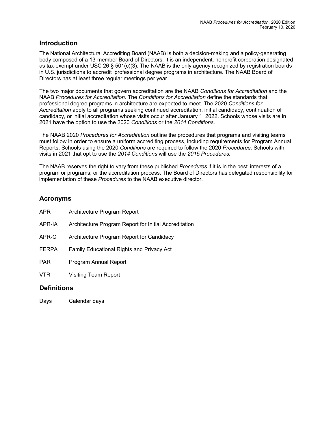#### <span id="page-3-0"></span>**Introduction**

The National Architectural Accrediting Board (NAAB) is both a decision-making and a policy-generating body composed of a 13-member Board of Directors. It is an independent, nonprofit corporation designated as tax-exempt under USC 26 § 501(c)(3). The NAAB is the only agency recognized by registration boards in U.S. jurisdictions to accredit professional degree programs in architecture. The NAAB Board of Directors has at least three regular meetings per year.

The two major documents that govern accreditation are the NAAB *Conditions for Accreditation* and the NAAB *Procedures for Accreditation.* The *Conditions for Accreditation* define the standards that professional degree programs in architecture are expected to meet. The 2020 *Conditions for Accreditation* apply to all programs seeking continued accreditation, initial candidacy, continuation of candidacy, or initial accreditation whose visits occur after January 1, 2022. Schools whose visits are in 2021 have the option to use the 2020 *Conditions* or the *2014 Conditions*.

The NAAB 2020 *Procedures for Accreditation* outline the procedures that programs and visiting teams must follow in order to ensure a uniform accrediting process, including requirements for Program Annual Reports. Schools using the 2020 *Conditions* are required to follow the 2020 *Procedures*. Schools with visits in 2021 that opt to use the *2014 Conditions* will use the *2015 Procedures.* 

The NAAB reserves the right to vary from these published *Procedures* if it is in the best interests of a program or programs, or the accreditation process. The Board of Directors has delegated responsibility for implementation of these *Procedures* to the NAAB executive director.

### **Acronyms**

| APR.         | Architecture Program Report                           |
|--------------|-------------------------------------------------------|
| APR-IA       | Architecture Program Report for Initial Accreditation |
| APR-C        | Architecture Program Report for Candidacy             |
| <b>FERPA</b> | <b>Family Educational Rights and Privacy Act</b>      |
| <b>PAR</b>   | Program Annual Report                                 |
| VTR          | Visiting Team Report                                  |

#### **Definitions**

Days Calendar days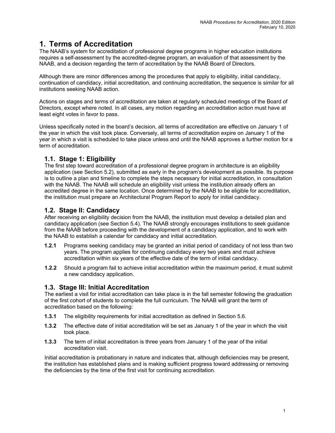### <span id="page-4-0"></span>**1. Terms of Accreditation**

The NAAB's system for accreditation of professional degree programs in higher education institutions requires a self-assessment by the accredited-degree program, an evaluation of that assessment by the NAAB, and a decision regarding the term of accreditation by the NAAB Board of Directors.

Although there are minor differences among the procedures that apply to eligibility, initial candidacy, continuation of candidacy, initial accreditation, and continuing accreditation, the sequence is similar for all institutions seeking NAAB action.

Actions on stages and terms of accreditation are taken at regularly scheduled meetings of the Board of Directors, except where noted. In all cases, any motion regarding an accreditation action must have at least eight votes in favor to pass.

Unless specifically noted in the board's decision, all terms of accreditation are effective on January 1 of the year in which the visit took place. Conversely, all terms of accreditation expire on January 1 of the year in which a visit is scheduled to take place unless and until the NAAB approves a further motion for a term of accreditation.

### **1.1. Stage 1: Eligibility**

The first step toward accreditation of a professional degree program in architecture is an eligibility application (see Section 5.2), submitted as early in the program's development as possible. Its purpose is to outline a plan and timeline to complete the steps necessary for initial accreditation, in consultation with the NAAB. The NAAB will schedule an eligibility visit unless the institution already offers an accredited degree in the same location. Once determined by the NAAB to be eligible for accreditation, the institution must prepare an Architectural Program Report to apply for initial candidacy.

#### **1.2. Stage II: Candidacy**

After receiving an eligibility decision from the NAAB, the institution must develop a detailed plan and candidacy application (see Section 5.4). The NAAB strongly encourages institutions to seek guidance from the NAAB before proceeding with the development of a candidacy application, and to work with the NAAB to establish a calendar for candidacy and initial accreditation.

- **1.2.1** Programs seeking candidacy may be granted an initial period of candidacy of not less than two years. The program applies for continuing candidacy every two years and must achieve accreditation within six years of the effective date of the term of initial candidacy.
- **1.2.2** Should a program fail to achieve initial accreditation within the maximum period, it must submit a new candidacy application.

#### **1.3. Stage III: Initial Accreditation**

The earliest a visit for initial accreditation can take place is in the fall semester following the graduation of the first cohort of students to complete the full curriculum. The NAAB will grant the term of accreditation based on the following:

- **1.3.1** The eligibility requirements for initial accreditation as defined in Section 5.6.
- **1.3.2** The effective date of initial accreditation will be set as January 1 of the year in which the visit took place.
- **1.3.3** The term of initial accreditation is three years from January 1 of the year of the initial accreditation visit.

Initial accreditation is probationary in nature and indicates that, although deficiencies may be present, the institution has established plans and is making sufficient progress toward addressing or removing the deficiencies by the time of the first visit for continuing accreditation.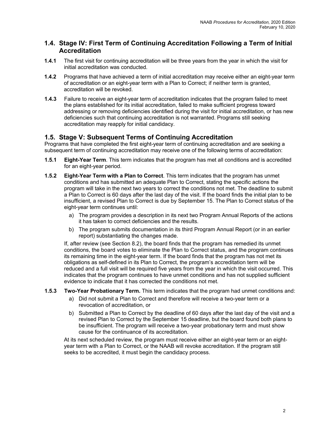#### **1.4. Stage IV: First Term of Continuing Accreditation Following a Term of Initial Accreditation**

- **1.4.1** The first visit for continuing accreditation will be three years from the year in which the visit for initial accreditation was conducted.
- **1.4.2** Programs that have achieved a term of initial accreditation may receive either an eight-year term of accreditation or an eight-year term with a Plan to Correct; if neither term is granted, accreditation will be revoked.
- **1.4.3** Failure to receive an eight-year term of accreditation indicates that the program failed to meet the plans established for its initial accreditation, failed to make sufficient progress toward addressing or removing deficiencies identified during the visit for initial accreditation, or has new deficiencies such that continuing accreditation is not warranted. Programs still seeking accreditation may reapply for initial candidacy.

#### **1.5. Stage V: Subsequent Terms of Continuing Accreditation**

Programs that have completed the first eight-year term of continuing accreditation and are seeking a subsequent term of continuing accreditation may receive one of the following terms of accreditation:

- **1.5.1 Eight-Year Term**. This term indicates that the program has met all conditions and is accredited for an eight-year period.
- **1.5.2 Eight-Year Term with a Plan to Correct**. This term indicates that the program has unmet conditions and has submitted an adequate Plan to Correct, stating the specific actions the program will take in the next two years to correct the conditions not met. The deadline to submit a Plan to Correct is 60 days after the last day of the visit. If the board finds the initial plan to be insufficient, a revised Plan to Correct is due by September 15. The Plan to Correct status of the eight-year term continues until:
	- a) The program provides a description in its next two Program Annual Reports of the actions it has taken to correct deficiencies and the results.
	- b) The program submits documentation in its third Program Annual Report (or in an earlier report) substantiating the changes made.

If, after review (see Section 8.2), the board finds that the program has remedied its unmet conditions, the board votes to eliminate the Plan to Correct status, and the program continues its remaining time in the eight-year term. If the board finds that the program has not met its obligations as self-defined in its Plan to Correct, the program's accreditation term will be reduced and a full visit will be required five years from the year in which the visit occurred. This indicates that the program continues to have unmet conditions and has not supplied sufficient evidence to indicate that it has corrected the conditions not met.

- **1.5.3 Two-Year Probationary Term.** This term indicates that the program had unmet conditions and:
	- a) Did not submit a Plan to Correct and therefore will receive a two-year term or a revocation of accreditation, or
	- b) Submitted a Plan to Correct by the deadline of 60 days after the last day of the visit and a revised Plan to Correct by the September 15 deadline, but the board found both plans to be insufficient. The program will receive a two-year probationary term and must show cause for the continuance of its accreditation.

At its next scheduled review, the program must receive either an eight-year term or an eightyear term with a Plan to Correct, or the NAAB will revoke accreditation. If the program still seeks to be accredited, it must begin the candidacy process.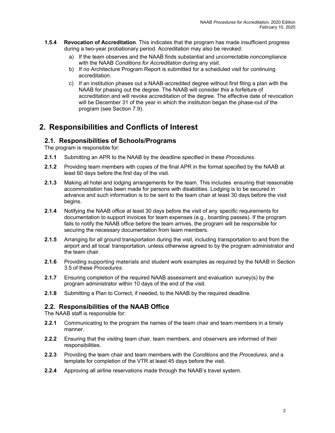- <span id="page-6-0"></span>**1.5.4 Revocation of Accreditation**. This indicates that the program has made insufficient progress during a two-year probationary period. Accreditation may also be revoked:
	- a) If the team observes and the NAAB finds substantial and uncorrectable noncompliance with the NAAB *Conditions for Accreditation* during any visit.
	- b) If no Architecture Program Report is submitted for a scheduled visit for continuing accreditation.
	- c) If an institution phases out a NAAB-accredited degree without first filing a plan with the NAAB for phasing out the degree. The NAAB will consider this a forfeiture of accreditation and will revoke accreditation of the degree. The effective date of revocation will be December 31 of the year in which the institution began the phase-out of the program (see Section 7.9).

### **2. Responsibilities and Conflicts of Interest**

#### **2.1. Responsibilities of Schools/Programs**

The program is responsible for:

- **2.1.1** Submitting an APR to the NAAB by the deadline specified in these *Procedures*.
- **2.1.2** Providing team members with copies of the final APR in the format specified by the NAAB at least 60 days before the first day of the visit.
- **2.1.3** Making all hotel and lodging arrangements for the team. This includes ensuring that reasonable accommodation has been made for persons with disabilities. Lodging is to be secured in advance and such information is to be sent to the team chair at least 30 days before the visit begins.
- **2.1.4** Notifying the NAAB office at least 30 days before the visit of any specific requirements for documentation to support invoices for team expenses (e.g., boarding passes). If the program fails to notify the NAAB office before the team arrives, the program will be responsible for securing the necessary documentation from team members.
- **2.1.5** Arranging for all ground transportation during the visit, including transportation to and from the airport and all local transportation, unless otherwise agreed to by the program administrator and the team chair.
- **2.1.6** Providing supporting materials and student work examples as required by the NAAB in Section 3.5 of these *Procedures*.
- **2.1.7** Ensuring completion of the required NAAB assessment and evaluation survey(s) by the program administrator within 10 days of the end of the visit.
- **2.1.8** Submitting a Plan to Correct, if needed, to the NAAB by the required deadline.

#### **2.2. Responsibilities of the NAAB Office**

The NAAB staff is responsible for:

- **2.2.1** Communicating to the program the names of the team chair and team members in a timely manner.
- **2.2.2** Ensuring that the visiting team chair, team members, and observers are informed of their responsibilities.
- **2.2.3** Providing the team chair and team members with the *Conditions* and the *Procedures*, and a template for completion of the VTR at least 45 days before the visit.
- **2.2.4** Approving all airline reservations made through the NAAB's travel system.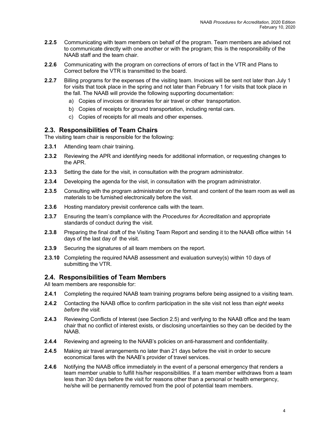- **2.2.5** Communicating with team members on behalf of the program. Team members are advised not to communicate directly with one another or with the program; this is the responsibility of the NAAB staff and the team chair.
- **2.2.6** Communicating with the program on corrections of errors of fact in the VTR and Plans to Correct before the VTR is transmitted to the board.
- **2.2.7** Billing programs for the expenses of the visiting team. Invoices will be sent not later than July 1 for visits that took place in the spring and not later than February 1 for visits that took place in the fall. The NAAB will provide the following supporting documentation:
	- a) Copies of invoices or itineraries for air travel or other transportation.
	- b) Copies of receipts for ground transportation, including rental cars.
	- c) Copies of receipts for all meals and other expenses.

#### **2.3. Responsibilities of Team Chairs**

The visiting team chair is responsible for the following:

- **2.3.1** Attending team chair training.
- **2.3.2** Reviewing the APR and identifying needs for additional information, or requesting changes to the APR.
- **2.3.3** Setting the date for the visit, in consultation with the program administrator.
- **2.3.4** Developing the agenda for the visit, in consultation with the program administrator.
- **2.3.5** Consulting with the program administrator on the format and content of the team room as well as materials to be furnished electronically before the visit.
- **2.3.6** Hosting mandatory previsit conference calls with the team.
- **2.3.7** Ensuring the team's compliance with the *Procedures for Accreditation* and appropriate standards of conduct during the visit.
- **2.3.8** Preparing the final draft of the Visiting Team Report and sending it to the NAAB office within 14 days of the last day of the visit.
- **2.3.9** Securing the signatures of all team members on the report.
- **2.3.10** Completing the required NAAB assessment and evaluation survey(s) within 10 days of submitting the VTR.

#### **2.4. Responsibilities of Team Members**

All team members are responsible for:

- **2.4.1** Completing the required NAAB team training programs before being assigned to a visiting team.
- **2.4.2** Contacting the NAAB office to confirm participation in the site visit not less than *eight weeks before the visit.*
- **2.4.3** Reviewing Conflicts of Interest (see Section 2.5) and verifying to the NAAB office and the team chair that no conflict of interest exists, or disclosing uncertainties so they can be decided by the NAAB.
- **2.4.4** Reviewing and agreeing to the NAAB's policies on anti-harassment and confidentiality.
- **2.4.5** Making air travel arrangements no later than 21 days before the visit in order to secure economical fares with the NAAB's provider of travel services.
- **2.4.6** Notifying the NAAB office immediately in the event of a personal emergency that renders a team member unable to fulfill his/her responsibilities. If a team member withdraws from a team less than 30 days before the visit for reasons other than a personal or health emergency, he/she will be permanently removed from the pool of potential team members.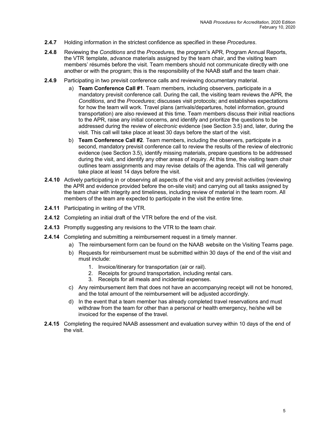- **2.4.7** Holding information in the strictest confidence as specified in these *Procedures*.
- **2.4.8** Reviewing the *Conditions* and the *Procedures,* the program's APR*,* Program Annual Reports, the VTR template, advance materials assigned by the team chair, and the visiting team members' résumés before the visit. Team members should not communicate directly with one another or with the program; this is the responsibility of the NAAB staff and the team chair.
- **2.4.9** Participating in two previsit conference calls and reviewing documentary material.
	- a) **Team Conference Call #1**. Team members, including observers, participate in a mandatory previsit conference call. During the call, the visiting team reviews the APR*,* the *Conditions*, and the *Procedures*; discusses visit protocols; and establishes expectations for how the team will work. Travel plans (arrivals/departures, hotel information, ground transportation) are also reviewed at this time. Team members discuss their initial reactions to the APR, raise any initial concerns, and identify and prioritize the questions to be addressed during the review of *electronic* evidence (see Section 3.5) and, later, during the visit. This call will take place at least 30 days before the start of the visit.
	- b) **Team Conference Call #2**. Team members, including the observers, participate in a second, mandatory previsit conference call to review the results of the review of electronic evidence (see Section 3.5), identify missing materials, prepare questions to be addressed during the visit, and identify any other areas of inquiry. At this time, the visiting team chair outlines team assignments and may revise details of the agenda. This call will generally take place at least 14 days before the visit.
- **2.4.10** Actively participating in or observing all aspects of the visit and any previsit activities (reviewing the APR and evidence provided before the on-site visit) and carrying out all tasks assigned by the team chair with integrity and timeliness, including review of material in the team room. All members of the team are expected to participate in the visit the entire time.
- **2.4.11** Participating in writing of the VTR*.*
- **2.4.12** Completing an initial draft of the VTR before the end of the visit.
- **2.4.13** Promptly suggesting any revisions to the VTR to the team chair*.*
- **2.4.14** Completing and submitting a reimbursement request in a timely manner.
	- a) The reimbursement form can be found on the NAAB website on the Visiting Teams page.
	- b) Requests for reimbursement must be submitted within 30 days of the end of the visit and must include:
		- 1. Invoice/itinerary for transportation (air or rail).
		- 2. Receipts for ground transportation, including rental cars.
		- 3. Receipts for all meals and incidental expenses.
	- c) Any reimbursement item that does not have an accompanying receipt will not be honored, and the total amount of the reimbursement will be adjusted accordingly.
	- d) In the event that a team member has already completed travel reservations and must withdraw from the team for other than a personal or health emergency, he/she will be invoiced for the expense of the travel.
- **2.4.15** Completing the required NAAB assessment and evaluation survey within 10 days of the end of the visit.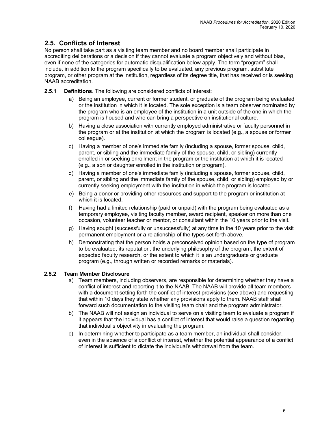### **2.5. Conflicts of Interest**

No person shall take part as a visiting team member and no board member shall participate in accrediting deliberations or a decision if they cannot evaluate a program objectively and without bias, even if none of the categories for automatic disqualification below apply. The term "program" shall include, in addition to the program specifically to be evaluated, any previous program, substitute program, or other program at the institution, regardless of its degree title, that has received or is seeking NAAB accreditation.

- **2.5.1 Definitions**. The following are considered conflicts of interest:
	- a) Being an employee, current or former student, or graduate of the program being evaluated or the institution in which it is located. The sole exception is a team observer nominated by the program who is an employee of the institution in a unit outside of the one in which the program is housed and who can bring a perspective on institutional culture.
	- b) Having a close association with currently employed administrative or faculty personnel in the program or at the institution at which the program is located (e.g., a spouse or former colleague).
	- c) Having a member of one's immediate family (including a spouse, former spouse, child, parent, or sibling and the immediate family of the spouse, child, or sibling) currently enrolled in or seeking enrollment in the program or the institution at which it is located (e.g., a son or daughter enrolled in the institution or program).
	- d) Having a member of one's immediate family (including a spouse, former spouse, child, parent, or sibling and the immediate family of the spouse, child, or sibling) employed by or currently seeking employment with the institution in which the program is located.
	- e) Being a donor or providing other resources and support to the program or institution at which it is located.
	- f) Having had a limited relationship (paid or unpaid) with the program being evaluated as a temporary employee, visiting faculty member, award recipient, speaker on more than one occasion, volunteer teacher or mentor, or consultant within the 10 years prior to the visit.
	- g) Having sought (successfully or unsuccessfully) at any time in the 10 years prior to the visit permanent employment or a relationship of the types set forth above.
	- h) Demonstrating that the person holds a preconceived opinion based on the type of program to be evaluated, its reputation, the underlying philosophy of the program, the extent of expected faculty research, or the extent to which it is an undergraduate or graduate program (e.g., through written or recorded remarks or materials).

#### **2.5.2 Team Member Disclosure**

- a) Team members, including observers, are responsible for determining whether they have a conflict of interest and reporting it to the NAAB. The NAAB will provide all team members with a document setting forth the conflict of interest provisions (see above) and requesting that within 10 days they state whether any provisions apply to them. NAAB staff shall forward such documentation to the visiting team chair and the program administrator.
- b) The NAAB will not assign an individual to serve on a visiting team to evaluate a program if it appears that the individual has a conflict of interest that would raise a question regarding that individual's objectivity in evaluating the program.
- c) In determining whether to participate as a team member, an individual shall consider, even in the absence of a conflict of interest, whether the potential appearance of a conflict of interest is sufficient to dictate the individual's withdrawal from the team.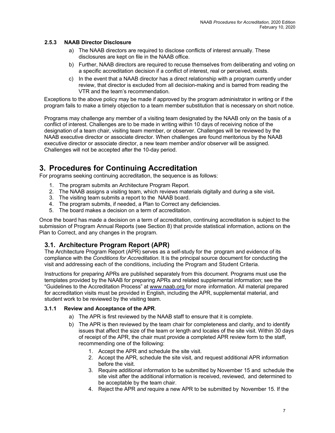#### <span id="page-10-0"></span>**2.5.3 NAAB Director Disclosure**

- a) The NAAB directors are required to disclose conflicts of interest annually. These disclosures are kept on file in the NAAB office.
- b) Further, NAAB directors are required to recuse themselves from deliberating and voting on a specific accreditation decision if a conflict of interest, real or perceived, exists.
- c) In the event that a NAAB director has a direct relationship with a program currently under review, that director is excluded from all decision-making and is barred from reading the VTR and the team's recommendation.

Exceptions to the above policy may be made if approved by the program administrator in writing or if the program fails to make a timely objection to a team member substitution that is necessary on short notice.

Programs may challenge any member of a visiting team designated by the NAAB only on the basis of a conflict of interest. Challenges are to be made in writing within 10 days of receiving notice of the designation of a team chair, visiting team member, or observer. Challenges will be reviewed by the NAAB executive director or associate director. When challenges are found meritorious by the NAAB executive director or associate director, a new team member and/or observer will be assigned. Challenges will not be accepted after the 10-day period.

### **3. Procedures for Continuing Accreditation**

For programs seeking continuing accreditation, the sequence is as follows:

- 1. The program submits an Architecture Program Report.
- 2. The NAAB assigns a visiting team, which reviews materials digitally and during a site visit**.**
- 3. The visiting team submits a report to the NAAB board.
- 4. The program submits, if needed, a Plan to Correct any deficiencies.
- 5. The board makes a decision on a term of accreditation.

Once the board has made a decision on a term of accreditation, continuing accreditation is subject to the submission of Program Annual Reports (see Section 8) that provide statistical information, actions on the Plan to Correct, and any changes in the program.

#### **3.1. Architecture Program Report (APR)**

The Architecture Program Report (APR) serves as a self-study for the program and evidence of its compliance with the *Conditions for Accreditation*. It is the principal source document for conducting the visit and addressing each of the conditions, including the Program and Student Criteria.

Instructions for preparing APRs are published separately from this document. Programs must use the templates provided by the NAAB for preparing APRs and related supplemental information; see the "Guidelines to the Accreditation Process" at [www.naab.org](http://www.naab.org/) for more information. All material prepared for accreditation visits must be provided in English, including the APR, supplemental material, and student work to be reviewed by the visiting team.

#### **3.1.1 Review and Acceptance of the APR**.

- a) The APR is first reviewed by the NAAB staff to ensure that it is complete.
- b) The APR is then reviewed by the team chair for completeness and clarity, and to identify issues that affect the size of the team or length and locales of the site visit. Within 30 days of receipt of the APR, the chair must provide a completed APR review form to the staff, recommending one of the following:
	- 1. Accept the APR and schedule the site visit.
	- 2. Accept the APR*,* schedule the site visit, and request additional APR information before the visit.
	- 3. Require additional information to be submitted by November 15 and schedule the site visit after the additional information is received, reviewed, and determined to be acceptable by the team chair.
	- 4. Reject the APR *and* require a new APR to be submitted by November 15. If the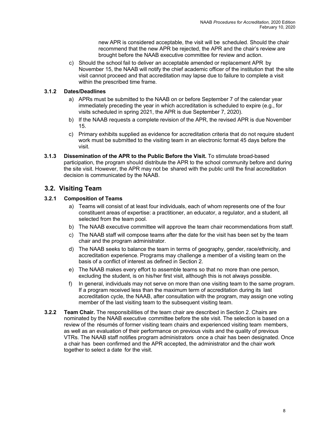new APR is considered acceptable, the visit will be scheduled. Should the chair recommend that the new APR be rejected, the APR and the chair's review are brought before the NAAB executive committee for review and action.

c) Should the school fail to deliver an acceptable amended or replacement APR by November 15, the NAAB will notify the chief academic officer of the institution that the site visit cannot proceed and that accreditation may lapse due to failure to complete a visit within the prescribed time frame.

#### **3.1.2 Dates/Deadlines**

- a) APRs must be submitted to the NAAB on or before September 7 of the calendar year immediately preceding the year in which accreditation is scheduled to expire (e.g., for visits scheduled in spring 2021, the APR is due September 7, 2020).
- b) If the NAAB requests a complete revision of the APR, the revised APR is due November 15.
- c) Primary exhibits supplied as evidence for accreditation criteria that do not require student work must be submitted to the visiting team in an electronic format 45 days before the visit.
- **3.1.3 Dissemination of the APR to the Public Before the Visit.** To stimulate broad-based participation, the program should distribute the APR to the school community before and during the site visit. However, the APR may not be shared with the public until the final accreditation decision is communicated by the NAAB.

### **3.2. Visiting Team**

#### **3.2.1 Composition of Teams**

- a) Teams will consist of at least four individuals, each of whom represents one of the four constituent areas of expertise: a practitioner, an educator, a regulator, and a student, all selected from the team pool.
- b) The NAAB executive committee will approve the team chair recommendations from staff.
- c) The NAAB staff will compose teams after the date for the visit has been set by the team chair and the program administrator.
- d) The NAAB seeks to balance the team in terms of geography, gender, race/ethnicity, and accreditation experience. Programs may challenge a member of a visiting team on the basis of a conflict of interest as defined in Section 2.
- e) The NAAB makes every effort to assemble teams so that no more than one person, excluding the student, is on his/her first visit, although this is not always possible.
- f) In general, individuals may not serve on more than one visiting team to the same program. If a program received less than the maximum term of accreditation during its last accreditation cycle, the NAAB, after consultation with the program, may assign one voting member of the last visiting team to the subsequent visiting team.
- **3.2.2 Team Chair.** The responsibilities of the team chair are described in Section 2. Chairs are nominated by the NAAB executive committee before the site visit. The selection is based on a review of the résumés of former visiting team chairs and experienced visiting team members, as well as an evaluation of their performance on previous visits and the quality of previous VTRs. The NAAB staff notifies program administrators once a chair has been designated. Once a chair has been confirmed and the APR accepted, the administrator and the chair work together to select a date for the visit.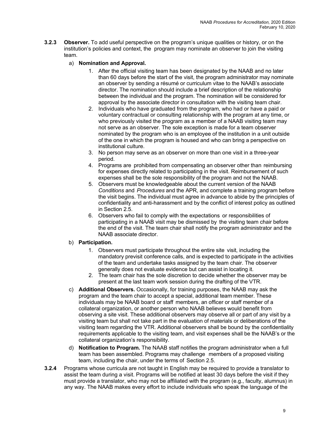**3.2.3 Observer.** To add useful perspective on the program's unique qualities or history, or on the institution's policies and context, the program may nominate an observer to join the visiting team.

#### a) **Nomination and Approval.**

- 1. After the official visiting team has been designated by the NAAB and no later than 60 days before the start of the visit, the program administrator may nominate an observer by sending a résumé or curriculum vitae to the NAAB's associate director. The nomination should include a brief description of the relationship between the individual and the program. The nomination will be considered for approval by the associate director in consultation with the visiting team chair.
- 2. Individuals who have graduated from the program, who had or have a paid or voluntary contractual or consulting relationship with the program at any time, or who previously visited the program as a member of a NAAB visiting team may not serve as an observer. The sole exception is made for a team observer nominated by the program who is an employee of the institution in a unit outside of the one in which the program is housed and who can bring a perspective on institutional culture.
- 3. No person may serve as an observer on more than one visit in a three-year period.
- 4. Programs are prohibited from compensating an observer other than reimbursing for expenses directly related to participating in the visit. Reimbursement of such expenses shall be the sole responsibility of the program and not the NAAB.
- 5. Observers must be knowledgeable about the current version of the NAAB *Conditions* and *Procedures* and the APR, and complete a training program before the visit begins. The individual must agree in advance to abide by the principles of confidentiality and anti-harassment and by the conflict of interest policy as outlined in Section 2.5.
- 6. Observers who fail to comply with the expectations or responsibilities of participating in a NAAB visit may be dismissed by the visiting team chair before the end of the visit. The team chair shall notify the program administrator and the NAAB associate director.

#### b) **Participation.**

- 1. Observers must participate throughout the entire site visit, including the mandatory previsit conference calls, and is expected to participate in the activities of the team and undertake tasks assigned by the team chair. The observer generally does not evaluate evidence but can assist in locating it.
- 2. The team chair has the sole discretion to decide whether the observer may be present at the last team work session during the drafting of the VTR.
- c) **Additional Observers.** Occasionally, for training purposes, the NAAB may ask the program and the team chair to accept a special, additional team member. These individuals may be NAAB board or staff members, an officer or staff member of a collateral organization, or another person who NAAB believes would benefit from observing a site visit. These additional observers may observe all or part of any visit by a visiting team but shall not take part in the evaluation of materials or deliberations of the visiting team regarding the VTR. Additional observers shall be bound by the confidentiality requirements applicable to the visiting team, and visit expenses shall be the NAAB's or the collateral organization's responsibility.
- d) **Notification to Program.** The NAAB staff notifies the program administrator when a full team has been assembled. Programs may challenge members of a proposed visiting team, including the chair, under the terms of Section 2.5.
- **3.2.4** Programs whose curricula are not taught in English may be required to provide a translator to assist the team during a visit. Programs will be notified at least 30 days before the visit if they must provide a translator, who may not be affiliated with the program (e.g., faculty, alumnus) in any way. The NAAB makes every effort to include individuals who speak the language of the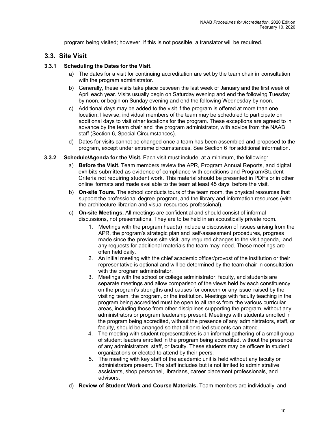program being visited; however, if this is not possible, a translator will be required.

#### **3.3. Site Visit**

#### **3.3.1 Scheduling the Dates for the Visit.**

- a) The dates for a visit for continuing accreditation are set by the team chair in consultation with the program administrator.
- b) Generally, these visits take place between the last week of January and the first week of April each year. Visits usually begin on Saturday evening and end the following Tuesday by noon, or begin on Sunday evening and end the following Wednesday by noon.
- c) Additional days may be added to the visit if the program is offered at more than one location; likewise, individual members of the team may be scheduled to participate on additional days to visit other locations for the program. These exceptions are agreed to in advance by the team chair and the program administrator, with advice from the NAAB staff (Section 6, Special Circumstances).
- d) Dates for visits cannot be changed once a team has been assembled and proposed to the program, except under extreme circumstances. See Section 6 for additional information.
- **3.3.2 Schedule/Agenda for the Visit.** Each visit must include, at a minimum, the following:
	- a) **Before the Visit.** Team members review the APR, Program Annual Reports, and digital exhibits submitted as evidence of compliance with conditions and Program/Student Criteria not requiring student work. This material should be presented in PDFs or in other online formats and made available to the team at least 45 days before the visit.
	- b) **On-site Tours.** The school conducts tours of the team room, the physical resources that support the professional degree program, and the library and information resources (with the architecture librarian and visual resources professional).
	- c) **On-site Meetings.** All meetings are confidential and should consist of informal discussions, not presentations. They are to be held in an acoustically private room.
		- 1. Meetings with the program head(s) include a discussion of issues arising from the APR, the program's strategic plan and self-assessment procedures, progress made since the previous site visit, any required changes to the visit agenda, and any requests for additional materials the team may need. These meetings are often held daily.
		- 2. An initial meeting with the chief academic officer/provost of the institution or their representative is optional and will be determined by the team chair in consultation with the program administrator.
		- 3. Meetings with the school or college administrator, faculty, and students are separate meetings and allow comparison of the views held by each constituency on the program's strengths and causes for concern or any issue raised by the visiting team, the program, or the institution. Meetings with faculty teaching in the program being accredited must be open to all ranks from the various curricular areas, including those from other disciplines supporting the program, without any administrators or program leadership present. Meetings with students enrolled in the program being accredited, without the presence of any administrators, staff, or faculty, should be arranged so that all enrolled students can attend.
		- 4. The meeting with student representatives is an informal gathering of a small group of student leaders enrolled in the program being accredited, without the presence of any administrators, staff, or faculty. These students may be officers in student organizations or elected to attend by their peers.
		- 5. The meeting with key staff of the academic unit is held without any faculty or administrators present. The staff includes but is not limited to administrative assistants, shop personnel, librarians, career placement professionals, and advisors.
	- d) **Review of Student Work and Course Materials.** Team members are individually and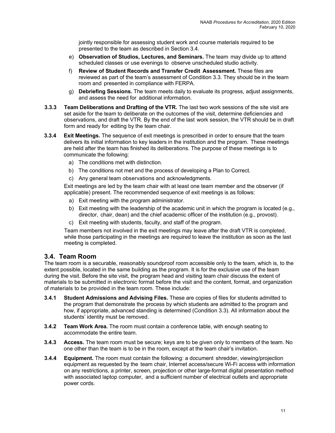jointly responsible for assessing student work and course materials required to be presented to the team as described in Section 3.4.

- e) **Observation of Studios, Lectures, and Seminars.** The team may divide up to attend scheduled classes or use evenings to observe unscheduled studio activity.
- f) **Review of Student Records and Transfer Credit Assessment.** These files are reviewed as part of the team's assessment of Condition 3.3. They should be in the team room and presented in compliance with FERPA.
- g) **Debriefing Sessions.** The team meets daily to evaluate its progress, adjust assignments, and assess the need for additional information.
- **3.3.3 Team Deliberations and Drafting of the VTR.** The last two work sessions of the site visit are set aside for the team to deliberate on the outcomes of the visit, determine deficiencies and observations, and draft the VTR. By the end of the last work session, the VTR should be in draft form and ready for editing by the team chair.
- **3.3.4 Exit Meetings.** The sequence of exit meetings is prescribed in order to ensure that the team delivers its initial information to key leaders in the institution and the program. These meetings are held after the team has finished its deliberations. The purpose of these meetings is to communicate the following:
	- a) The conditions met with distinction.
	- b) The conditions not met and the process of developing a Plan to Correct.
	- c) Any general team observations and acknowledgments.

Exit meetings are led by the team chair with at least one team member and the observer (if applicable) present. The recommended sequence of exit meetings is as follows:

- a) Exit meeting with the program administrator.
- b) Exit meeting with the leadership of the academic unit in which the program is located (e.g., director, chair, dean) and the chief academic officer of the institution (e.g., provost).
- c) Exit meeting with students, faculty, and staff of the program.

Team members not involved in the exit meetings may leave after the draft VTR is completed, while those participating in the meetings are required to leave the institution as soon as the last meeting is completed.

#### **3.4. Team Room**

The team room is a securable, reasonably soundproof room accessible only to the team, which is, to the extent possible, located in the same building as the program. It is for the exclusive use of the team during the visit. Before the site visit, the program head and visiting team chair discuss the extent of materials to be submitted in electronic format before the visit and the content, format, and organization of materials to be provided in the team room. These include:

- **3.4.1 Student Admissions and Advising Files.** These are copies of files for students admitted to the program that demonstrate the process by which students are admitted to the program and how, if appropriate, advanced standing is determined (Condition 3.3). All information about the students' identity must be removed.
- **3.4.2 Team Work Area.** The room must contain a conference table, with enough seating to accommodate the entire team.
- **3.4.3 Access.** The team room must be secure; keys are to be given only to members of the team. No one other than the team is to be in the room, except at the team chair's invitation.
- **3.4.4 Equipment.** The room must contain the following: a document shredder, viewing/projection equipment as requested by the team chair, Internet access/secure Wi-Fi access with information on any restrictions, a printer, screen, projection or other large-format digital presentation method with associated laptop computer, and a sufficient number of electrical outlets and appropriate power cords.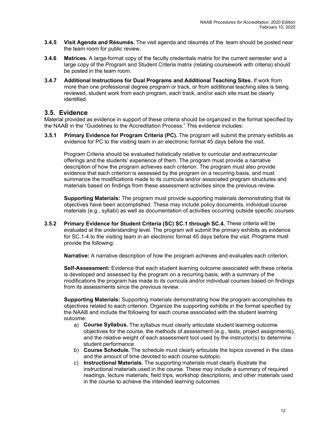- **3.4.5 Visit Agenda and Résumés.** The visit agenda and résumés of the team should be posted near the team room for public review.
- **3.4.6 Matrices.** A large-format copy of the faculty credentials matrix for the current semester and a large copy of the Program and Student Criteria matrix (relating coursework with criteria) should be posted in the team room.
- **3.4.7 Additional Instructions for Dual Programs and Additional Teaching Sites**. If work from more than one professional degree program or track, or from additional teaching sites is being reviewed, student work from each program, each track, and/or each site must be clearly identified.

#### **3.5. Evidence**

Material provided as evidence in support of these criteria should be organized in the format specified by the NAAB in the "Guidelines to the Accreditation Process." This evidence includes:

**3.5.1 Primary Evidence for Program Criteria (PC).** The program will submit the primary exhibits as evidence for PC to the visiting team in an electronic format 45 days before the visit.

Program Criteria should be evaluated holistically relative to curricular and extracurricular offerings and the students' experience of them. The program must provide a narrative description of how the program achieves each criterion. The program must also provide evidence that each criterion is assessed by the program on a recurring basis, and must summarize the modifications made to its curricula and/or associated program structures and materials based on findings from these assessment activities since the previous review.

**Supporting Materials:** The program must provide supporting materials demonstrating that its objectives have been accomplished. These may include policy documents, individual course materials (e.g., syllabi) as well as documentation of activities occurring outside specific courses.

**3.5.2 Primary Evidence for Student Criteria (SC) SC.1 through SC.4.** These criteria will be evaluated at the *understanding* level. The program will submit the primary exhibits as evidence for SC.1-4 to the visiting team in an electronic format 45 days before the visit. Programs must provide the following:

**Narrative:** A narrative description of how the program achieves and evaluates each criterion.

**Self-Assessment:** Evidence that each student learning outcome associated with these criteria is developed and assessed by the program on a recurring basis, with a summary of the modifications the program has made to its curricula and/or individual courses based on findings from its assessments since the previous review.

**Supporting Materials:** Supporting materials demonstrating how the program accomplishes its objectives related to each criterion. Organize the supporting exhibits in the format specified by the NAAB and include the following for each course associated with the student learning outcome:

- a) **Course Syllabus.** The syllabus must clearly articulate student learning outcome objectives for the course, the methods of assessment (e.g., tests, project assignments), and the relative weight of each assessment tool used by the instructor(s) to determine student performance.
- b) **Course Schedule.** The schedule must clearly articulate the topics covered in the class and the amount of time devoted to each course subtopic.
- c) **Instructional Materials.** The supporting materials must clearly illustrate the instructional materials used in the course. These may include a summary of required readings, lecture materials, field trips, workshop descriptions, and other materials used in the course to achieve the intended learning outcomes.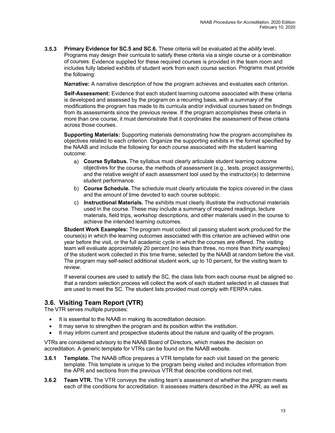**3.5.3 Primary Evidence for SC.5 and SC.6.** These criteria will be evaluated at the *ability* level. Programs may design their curricula to satisfy these criteria via a single course or a combination of courses. Evidence supplied for these required courses is provided in the team room and includes fully labeled exhibits of student work from each course section. Programs must provide the following:

**Narrative:** A narrative description of how the program achieves and evaluates each criterion.

**Self-Assessment:** Evidence that each student learning outcome associated with these criteria is developed and assessed by the program on a recurring basis, with a summary of the modifications the program has made to its curricula and/or individual courses based on findings from its assessments since the previous review. If the program accomplishes these criteria in more than one course, it must demonstrate that it coordinates the assessment of these criteria across those courses.

**Supporting Materials:** Supporting materials demonstrating how the program accomplishes its objectives related to each criterion. Organize the supporting exhibits in the format specified by the NAAB and include the following for each course associated with the student learning outcome:

- a) **Course Syllabus.** The syllabus must clearly articulate student learning outcome objectives for the course, the methods of assessment (e.g., tests, project assignments), and the relative weight of each assessment tool used by the instructor(s) to determine student performance.
- b) **Course Schedule.** The schedule must clearly articulate the topics covered in the class and the amount of time devoted to each course subtopic.
- c) **Instructional Materials.** The exhibits must clearly illustrate the instructional materials used in the course. These may include a summary of required readings, lecture materials, field trips, workshop descriptions, and other materials used in the course to achieve the intended learning outcomes.

**Student Work Examples:** The program must collect all passing student work produced for the course(s) in which the learning outcomes associated with this criterion are achieved within one year before the visit, or the full academic cycle in which the courses are offered. The visiting team will evaluate approximately 20 percent (no less than three, no more than thirty examples) of the student work collected in this time frame, selected by the NAAB at random before the visit. The program may self-select additional student work, up to 10 percent, for the visiting team to review.

If several courses are used to satisfy the SC, the class lists from each course must be aligned so that a random selection process will collect the work of each student selected in all classes that are used to meet the SC. The student lists provided must comply with FERPA rules.

#### **3.6. Visiting Team Report (VTR)**

The VTR serves multiple purposes:

- It is essential to the NAAB in making its accreditation decision.
- It may serve to strengthen the program and its position within the institution.
- It may inform current and prospective students about the nature and quality of the program.

VTRs are considered advisory to the NAAB Board of Directors, which makes the decision on accreditation. A generic template for VTRs can be found on the NAAB website.

- **3.6.1 Template.** The NAAB office prepares a VTR template for each visit based on the generic template. This template is unique to the program being visited and includes information from the APR and sections from the previous VTR that describe conditions not met.
- **3.6.2 Team VTR.** The VTR conveys the visiting team's assessment of whether the program meets each of the conditions for accreditation. It assesses matters described in the APR, as well as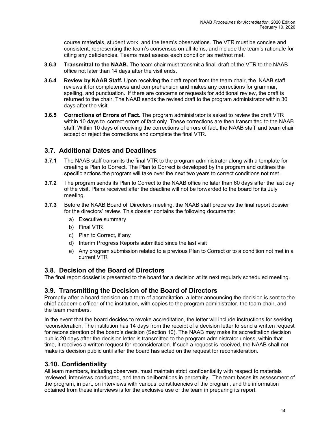course materials, student work, and the team's observations. The VTR must be concise and consistent, representing the team's consensus on all items, and include the team's rationale for citing any deficiencies. Teams must assess each condition as met/not met.

- **3.6.3 Transmittal to the NAAB.** The team chair must transmit a final draft of the VTR to the NAAB office not later than 14 days after the visit ends.
- **3.6.4 Review by NAAB Staff.** Upon receiving the draft report from the team chair, the NAAB staff reviews it for completeness and comprehension and makes any corrections for grammar, spelling, and punctuation. If there are concerns or requests for additional review, the draft is returned to the chair. The NAAB sends the revised draft to the program administrator within 30 days after the visit.
- **3.6.5 Corrections of Errors of Fact.** The program administrator is asked to review the draft VTR within 10 days to correct errors of fact only. These corrections are then transmitted to the NAAB staff. Within 10 days of receiving the corrections of errors of fact, the NAAB staff and team chair accept or reject the corrections and complete the final VTR.

#### **3.7. Additional Dates and Deadlines**

- **3.7.1** The NAAB staff transmits the final VTR to the program administrator along with a template for creating a Plan to Correct. The Plan to Correct is developed by the program and outlines the specific actions the program will take over the next two years to correct conditions not met.
- **3.7.2** The program sends its Plan to Correct to the NAAB office no later than 60 days after the last day of the visit. Plans received after the deadline will not be forwarded to the board for its July meeting.
- **3.7.3** Before the NAAB Board of Directors meeting, the NAAB staff prepares the final report dossier for the directors' review. This dossier contains the following documents:
	- a) Executive summary
	- b) Final VTR
	- c) Plan to Correct*,* if any
	- d) Interim Progress Reports submitted since the last visit
	- e) Any program submission related to a previous Plan to Correct or to a condition not met in a current VTR

#### **3.8. Decision of the Board of Directors**

The final report dossier is presented to the board for a decision at its next regularly scheduled meeting.

#### **3.9. Transmitting the Decision of the Board of Directors**

Promptly after a board decision on a term of accreditation, a letter announcing the decision is sent to the chief academic officer of the institution, with copies to the program administrator, the team chair, and the team members.

In the event that the board decides to revoke accreditation, the letter will include instructions for seeking reconsideration. The institution has 14 days from the receipt of a decision letter to send a written request for reconsideration of the board's decision (Section 10). The NAAB may make its accreditation decision public 20 days after the decision letter is transmitted to the program administrator unless, within that time, it receives a written request for reconsideration. If such a request is received, the NAAB shall not make its decision public until after the board has acted on the request for reconsideration.

#### **3.10. Confidentiality**

All team members, including observers, must maintain strict confidentiality with respect to materials reviewed, interviews conducted, and team deliberations in perpetuity. The team bases its assessment of the program, in part, on interviews with various constituencies of the program, and the information obtained from these interviews is for the exclusive use of the team in preparing its report.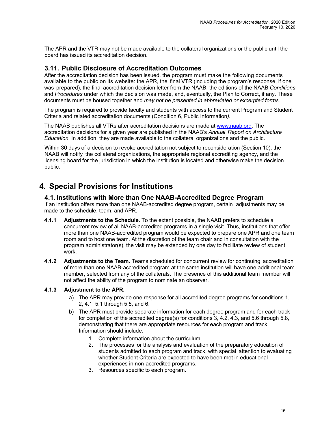<span id="page-18-0"></span>The APR and the VTR may not be made available to the collateral organizations or the public until the board has issued its accreditation decision.

#### **3.11. Public Disclosure of Accreditation Outcomes**

After the accreditation decision has been issued, the program must make the following documents available to the public on its website: the APR, the final VTR (including the program's response, if one was prepared), the final accreditation decision letter from the NAAB, the editions of the NAAB *Conditions* and *Procedures* under which the decision was made, and, eventually, the Plan to Correct, if any. These documents must be housed together and *may not be presented in abbreviated or excerpted forms.*

The program is required to provide faculty and students with access to the current Program and Student Criteria and related accreditation documents (Condition 6, Public Information*).*

The NAAB publishes all VTRs after accreditation decisions are made at [www.naab.org.](http://www.naab.org/) The accreditation decisions for a given year are published in the NAAB's *Annual Report on Architecture Education.* In addition, they are made available to the collateral organizations and the public.

Within 30 days of a decision to revoke accreditation not subject to reconsideration (Section 10), the NAAB will notify the collateral organizations, the appropriate regional accrediting agency, and the licensing board for the jurisdiction in which the institution is located and otherwise make the decision public.

### **4. Special Provisions for Institutions**

#### **4.1. Institutions with More than One NAAB-Accredited Degree Program**

If an institution offers more than one NAAB-accredited degree program, certain adjustments may be made to the schedule, team, and APR.

- **4.1.1 Adjustments to the Schedule.** To the extent possible, the NAAB prefers to schedule a concurrent review of all NAAB-accredited programs in a single visit. Thus, institutions that offer more than one NAAB-accredited program would be expected to prepare one APR and one team room and to host one team. At the discretion of the team chair and in consultation with the program administrator(s), the visit may be extended by one day to facilitate review of student work.
- **4.1.2 Adjustments to the Team.** Teams scheduled for concurrent review for continuing accreditation of more than one NAAB-accredited program at the same institution will have one additional team member, selected from any of the collaterals. The presence of this additional team member will not affect the ability of the program to nominate an observer.

#### **4.1.3 Adjustment to the APR.**

- a) The APR may provide one response for all accredited degree programs for conditions 1, 2, 4.1, 5.1 through 5.5, and 6.
- b) The APR must provide separate information for each degree program and for each track for completion of the accredited degree(s) for conditions 3, 4.2, 4.3, and 5.6 through 5.8, demonstrating that there are appropriate resources for each program and track. Information should include:
	- 1. Complete information about the curriculum.
	- 2. The processes for the analysis and evaluation of the preparatory education of students admitted to each program and track, with special attention to evaluating whether Student Criteria are expected to have been met in educational experiences in non-accredited programs.
	- 3. Resources specific to each program.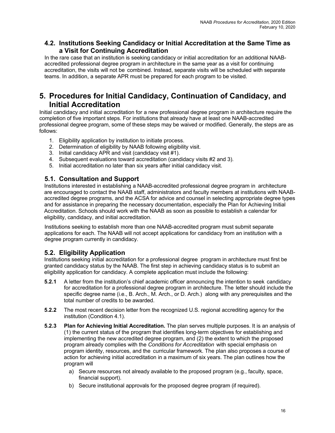#### <span id="page-19-0"></span>**4.2. Institutions Seeking Candidacy or Initial Accreditation at the Same Time as a Visit for Continuing Accreditation**

In the rare case that an institution is seeking candidacy or initial accreditation for an additional NAABaccredited professional degree program in architecture in the same year as a visit for continuing accreditation, the visits will not be combined. Instead, separate visits will be scheduled with separate teams. In addition, a separate APR must be prepared for each program to be visited.

### **5. Procedures for Initial Candidacy, Continuation of Candidacy, and Initial Accreditation**

Initial candidacy and initial accreditation for a new professional degree program in architecture require the completion of five important steps. For institutions that already have at least one NAAB-accredited professional degree program, some of these steps may be waived or modified. Generally, the steps are as follows:

- 1. Eligibility application by institution to initiate process.
- 2. Determination of eligibility by NAAB following eligibility visit.
- 3. Initial candidacy APR and visit (candidacy visit #1).
- 4. Subsequent evaluations toward accreditation (candidacy visits #2 and 3).
- 5. Initial accreditation no later than six years after initial candidacy visit.

#### **5.1. Consultation and Support**

Institutions interested in establishing a NAAB-accredited professional degree program in architecture are encouraged to contact the NAAB staff, administrators and faculty members at institutions with NAABaccredited degree programs, and the ACSA for advice and counsel in selecting appropriate degree types and for assistance in preparing the necessary documentation, especially the Plan for Achieving Initial Accreditation. Schools should work with the NAAB as soon as possible to establish a calendar for eligibility, candidacy, and initial accreditation.

Institutions seeking to establish more than one NAAB-accredited program must submit separate applications for each. The NAAB will not accept applications for candidacy from an institution with a degree program currently in candidacy.

#### **5.2. Eligibility Application**

Institutions seeking initial accreditation for a professional degree program in architecture must first be granted candidacy status by the NAAB. The first step in achieving candidacy status is to submit an eligibility application for candidacy. A complete application must include the following:

- **5.2.1** A letter from the institution's chief academic officer announcing the intention to seek candidacy for accreditation for a professional degree program in architecture. The letter should include the specific degree name (i.e., B. Arch., M. Arch., or D. Arch.) along with any prerequisites and the total number of credits to be awarded.
- **5.2.2** The most recent decision letter from the recognized U.S. regional accrediting agency for the institution (Condition 4.1).
- **5.2.3 Plan for Achieving Initial Accreditation.** The plan serves multiple purposes. It is an analysis of (1) the current status of the program that identifies long-term objectives for establishing and implementing the new accredited degree program, and (2) the extent to which the proposed program already complies with the *Conditions for Accreditation* with special emphasis on program identity, resources, and the curricular framework. The plan also proposes a course of action for achieving initial accreditation in a maximum of six years. The plan outlines how the program will
	- a) Secure resources not already available to the proposed program (e.g., faculty, space, financial support).
	- b) Secure institutional approvals for the proposed degree program (if required).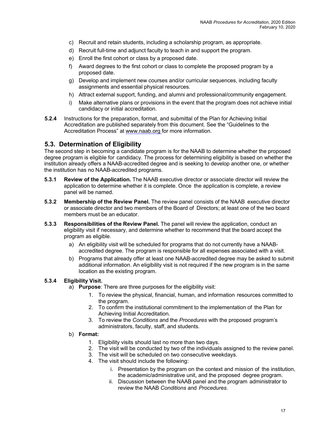- c) Recruit and retain students, including a scholarship program, as appropriate.
- d) Recruit full-time and adjunct faculty to teach in and support the program.
- e) Enroll the first cohort or class by a proposed date.
- f) Award degrees to the first cohort or class to complete the proposed program by a proposed date.
- g) Develop and implement new courses and/or curricular sequences, including faculty assignments and essential physical resources.
- h) Attract external support, funding, and alumni and professional/community engagement.
- i) Make alternative plans or provisions in the event that the program does not achieve initial candidacy or initial accreditation.
- **5.2.4** Instructions for the preparation, format, and submittal of the Plan for Achieving Initial Accreditation are published separately from this document. See the "Guidelines to the Accreditation Process" at [www.naab.org](http://www.naab.org/) for more information.

#### **5.3. Determination of Eligibility**

The second step in becoming a candidate program is for the NAAB to determine whether the proposed degree program is eligible for candidacy. The process for determining eligibility is based on whether the institution already offers a NAAB-accredited degree and is seeking to develop another one, or whether the institution has no NAAB-accredited programs.

- **5.3.1 Review of the Application.** The NAAB executive director or associate director will review the application to determine whether it is complete. Once the application is complete, a review panel will be named.
- **5.3.2 Membership of the Review Panel.** The review panel consists of the NAAB executive director or associate director and two members of the Board of Directors; at least one of the two board members must be an educator.
- **5.3.3 Responsibilities of the Review Panel.** The panel will review the application, conduct an eligibility visit if necessary, and determine whether to recommend that the board accept the program as eligible.
	- a) An eligibility visit will be scheduled for programs that do not currently have a NAABaccredited degree. The program is responsible for all expenses associated with a visit.
	- b) Programs that already offer at least one NAAB-accredited degree may be asked to submit additional information. An eligibility visit is not required if the new program is in the same location as the existing program.

#### **5.3.4 Eligibility Visit.**

- a) **Purpose**: There are three purposes for the eligibility visit:
	- 1. To review the physical, financial, human, and information resources committed to the program.
	- 2. To confirm the institutional commitment to the implementation of the Plan for Achieving Initial Accreditation*.*
	- 3. To review the *Conditions* and the *Procedures* with the proposed program's administrators, faculty, staff, and students.

#### b) **Format:**

- 1. Eligibility visits should last no more than two days.
- 2. The visit will be conducted by two of the individuals assigned to the review panel.
- 3. The visit will be scheduled on two consecutive weekdays.
- 4. The visit should include the following:
	- i. Presentation by the program on the context and mission of the institution, the academic/administrative unit, and the proposed degree program.
	- ii. Discussion between the NAAB panel and the program administrator to review the NAAB *Conditions* and *Procedures.*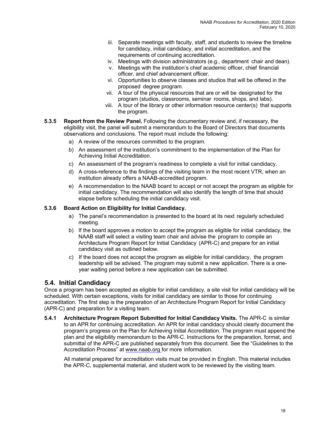- iii. Separate meetings with faculty, staff, and students to review the timeline for candidacy, initial candidacy, and initial accreditation, and the requirements of continuing accreditation.
- iv. Meetings with division administrators (e.g., department chair and dean).
- v. Meetings with the institution's chief academic officer, chief financial officer, and chief advancement officer.
- vi. Opportunities to observe classes and studios that will be offered in the proposed degree program.
- vii. A tour of the physical resources that are or will be designated for the program (studios, classrooms, seminar rooms, shops, and labs).
- viii. A tour of the library or other information resource center(s) that supports the program.
- **5.3.5 Report from the Review Panel.** Following the documentary review and, if necessary, the eligibility visit, the panel will submit a memorandum to the Board of Directors that documents observations and conclusions. The report must include the following:
	- a) A review of the resources committed to the program.
	- b) An assessment of the institution's commitment to the implementation of the Plan for Achieving Initial Accreditation.
	- c) An assessment of the program's readiness to complete a visit for initial candidacy.
	- d) A cross-reference to the findings of the visiting team in the most recent VTR, when an institution already offers a NAAB-accredited program.
	- e) A recommendation to the NAAB board to accept or not accept the program as eligible for initial candidacy. The recommendation will also identify the length of time that should elapse before scheduling the initial candidacy visit.

#### **5.3.6 Board Action on Eligibility for Initial Candidacy.**

- a) The panel's recommendation is presented to the board at its next regularly scheduled meeting.
- b) If the board approves a motion to accept the program as eligible for initial candidacy, the NAAB staff will select a visiting team chair and advise the program to compile an Architecture Program Report for Initial Candidacy (APR-C) and prepare for an initial candidacy visit as outlined below.
- c) If the board does not accept the program as eligible for initial candidacy, the program leadership will be advised. The program may submit a new application. There is a oneyear waiting period before a new application can be submitted.

#### **5.4. Initial Candidacy**

Once a program has been accepted as eligible for initial candidacy, a site visit for initial candidacy will be scheduled. With certain exceptions, visits for initial candidacy are similar to those for continuing accreditation. The first step is the preparation of an Architecture Program Report for Initial Candidacy (APR-C) and preparation for a visiting team.

**5.4.1 Architecture Program Report Submitted for Initial Candidacy Visits.** The APR-C is similar to an APR for continuing accreditation. An APR for initial candidacy should clearly document the program's progress on the Plan for Achieving Initial Accreditation. The program must append the plan and the eligibility memorandum to the APR-C. Instructions for the preparation, format, and submittal of the APR-C are published separately from this document. See the "Guidelines to the Accreditation Process" at [www.naab.org](http://www.naab.org/) for more information.

All material prepared for accreditation visits must be provided in English. This material includes the APR-C, supplemental material, and student work to be reviewed by the visiting team.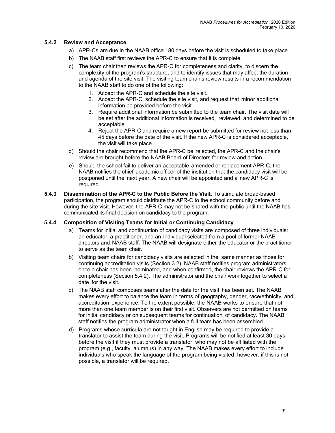#### **5.4.2 Review and Acceptance**

- a) APR-Cs are due in the NAAB office 180 days before the visit is scheduled to take place.
- b) The NAAB staff first reviews the APR-C to ensure that it is complete.
- c) The team chair then reviews the APR-C for completeness and clarity, to discern the complexity of the program's structure, and to identify issues that may affect the duration and agenda of the site visit. The visiting team chair's review results in a recommendation to the NAAB staff to do one of the following:
	- 1. Accept the APR-C and schedule the site visit.
	- 2. Accept the APR-C*,* schedule the site visit, and request that minor additional information be provided before the visit.
	- 3. Require additional information be submitted to the team chair. The visit date will be set after the additional information is received, reviewed, and determined to be acceptable.
	- 4. Reject the APR-C and require a new report be submitted for review not less than 45 days before the date of the visit. If the new APR-C is considered acceptable, the visit will take place.
- d) Should the chair recommend that the APR-C be rejected, the APR-C and the chair's review are brought before the NAAB Board of Directors for review and action.
- e) Should the school fail to deliver an acceptable amended or replacement APR-C, the NAAB notifies the chief academic officer of the institution that the candidacy visit will be postponed until the next year. A new chair will be appointed and a new APR-C is required.
- **5.4.3 Dissemination of the APR-C to the Public Before the Visit.** To stimulate broad-based participation, the program should distribute the APR-C to the school community before and during the site visit. However, the APR-C may not be shared with the public until the NAAB has communicated its final decision on candidacy to the program.

#### **5.4.4 Composition of Visiting Teams for Initial or Continuing Candidacy**

- a) Teams for initial and continuation of candidacy visits are composed of three individuals: an educator, a practitioner, and an individual selected from a pool of former NAAB directors and NAAB staff. The NAAB will designate either the educator or the practitioner to serve as the team chair.
- b) Visiting team chairs for candidacy visits are selected in the same manner as those for continuing accreditation visits (Section 3.2). NAAB staff notifies program administrators once a chair has been nominated, and when confirmed, the chair reviews the APR-C for completeness (Section 5.4.2). The administrator and the chair work together to select a date for the visit.
- c) The NAAB staff composes teams after the date for the visit has been set. The NAAB makes every effort to balance the team in terms of geography, gender, race/ethnicity, and accreditation experience. To the extent possible, the NAAB works to ensure that not more than one team member is on their first visit. Observers are not permitted on teams for initial candidacy or on subsequent teams for continuation of candidacy. The NAAB staff notifies the program administrator when a full team has been assembled.
- d) Programs whose curricula are not taught in English may be required to provide a translator to assist the team during the visit. Programs will be notified at least 30 days before the visit if they must provide a translator, who may not be affiliated with the program (e.g., faculty, alumnus) in any way. The NAAB makes every effort to include individuals who speak the language of the program being visited; however, if this is not possible, a translator will be required.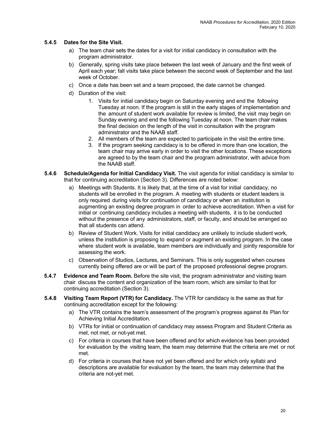#### **5.4.5 Dates for the Site Visit.**

- a) The team chair sets the dates for a visit for initial candidacy in consultation with the program administrator.
- b) Generally, spring visits take place between the last week of January and the first week of April each year; fall visits take place between the second week of September and the last week of October.
- c) Once a date has been set and a team proposed, the date cannot be changed.
- d) Duration of the visit:
	- 1. Visits for initial candidacy begin on Saturday evening and end the following Tuesday at noon. If the program is still in the early stages of implementation and the amount of student work available for review is limited, the visit may begin on Sunday evening and end the following Tuesday at noon. The team chair makes the final decision on the length of the visit in consultation with the program administrator and the NAAB staff.
	- 2. All members of the team are expected to participate in the visit the entire time.
	- 3. If the program seeking candidacy is to be offered in more than one location, the team chair may arrive early in order to visit the other locations. These exceptions are agreed to by the team chair and the program administrator, with advice from the NAAB staff.
- **5.4.6 Schedule/Agenda for Initial Candidacy Visit.** The visit agenda for initial candidacy is similar to that for continuing accreditation (Section 3). Differences are noted below:
	- a) Meetings with Students. It is likely that, at the time of a visit for initial candidacy, no students will be enrolled in the program. A meeting with students or student leaders is only required during visits for continuation of candidacy or when an institution is augmenting an existing degree program in order to achieve accreditation. When a visit for initial or continuing candidacy includes a meeting with students, it is to be conducted without the presence of any administrators, staff, or faculty, and should be arranged so that all students can attend.
	- b) Review of Student Work. Visits for initial candidacy are unlikely to include student work, unless the institution is proposing to expand or augment an existing program. In the case where student work is available, team members are individually and jointly responsible for assessing the work.
	- c) Observation of Studios, Lectures, and Seminars. This is only suggested when courses currently being offered are or will be part of the proposed professional degree program.
- **5.4.7 Evidence and Team Room.** Before the site visit, the program administrator and visiting team chair discuss the content and organization of the team room, which are similar to that for continuing accreditation (Section 3).
- **5.4.8 Visiting Team Report (VTR) for Candidacy.** The VTR for candidacy is the same as that for continuing accreditation except for the following:
	- a) The VTR contains the team's assessment of the program's progress against its Plan for Achieving Initial Accreditation.
	- b) VTRs for initial or continuation of candidacy may assess Program and Student Criteria as met, not met, or not-yet met.
	- c) For criteria in courses that have been offered and for which evidence has been provided for evaluation by the visiting team, the team may determine that the criteria are met or not met.
	- d) For criteria in courses that have not yet been offered and for which only syllabi and descriptions are available for evaluation by the team, the team may determine that the criteria are not-yet met.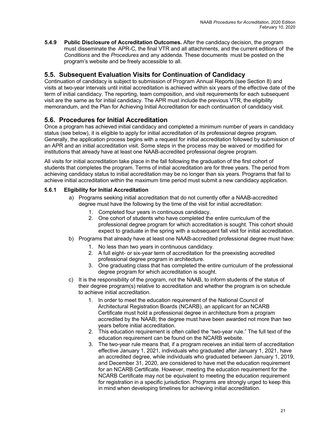**5.4.9 Public Disclosure of Accreditation Outcomes.** After the candidacy decision, the program must disseminate the APR-C*,* the final VTR and all attachments, and the current editions of the *Conditions* and the *Procedures* and any addenda. These documents must be posted on the program's website and be freely accessible to all.

### **5.5. Subsequent Evaluation Visits for Continuation of Candidacy**

Continuation of candidacy is subject to submission of Program Annual Reports (see Section 8) and visits at two-year intervals until initial accreditation is achieved within six years of the effective date of the term of initial candidacy. The reporting, team composition, and visit requirements for each subsequent visit are the same as for initial candidacy. The APR must include the previous VTR, the eligibility memorandum, and the Plan for Achieving Initial Accreditation for each continuation of candidacy visit.

### **5.6. Procedures for Initial Accreditation**

Once a program has achieved initial candidacy and completed a minimum number of years in candidacy status (see below), it is eligible to apply for initial accreditation of its professional degree program. Generally, the application process begins with a request for initial accreditation followed by submission of an APR and an initial accreditation visit. Some steps in the process may be waived or modified for institutions that already have at least one NAAB-accredited professional degree program.

All visits for initial accreditation take place in the fall following the graduation of the first cohort of students that completes the program. Terms of initial accreditation are for three years. The period from achieving candidacy status to initial accreditation may be no longer than six years. Programs that fail to achieve initial accreditation within the maximum time period must submit a new candidacy application.

#### **5.6.1 Eligibility for Initial Accreditation**

- a) Programs seeking initial accreditation that do not currently offer a NAAB-accredited degree must have the following by the time of the visit for initial accreditation:
	- 1. Completed four years in continuous candidacy.
	- 2. One cohort of students who have completed the entire curriculum of the professional degree program for which accreditation is sought. This cohort should expect to graduate in the spring with a subsequent fall visit for initial accreditation.
- b) Programs that already have at least one NAAB-accredited professional degree must have:
	- 1. No less than two years in continuous candidacy.
	- 2. A full eight- or six-year term of accreditation for the preexisting accredited professional degree program in architecture.
	- 3. One graduating class that has completed the entire curriculum of the professional degree program for which accreditation is sought.
- c) It is the responsibility of the program, not the NAAB, to inform students of the status of their degree program(s) relative to accreditation and whether the program is on schedule to achieve initial accreditation.
	- 1. In order to meet the education requirement of the National Council of Architectural Registration Boards (NCARB), an applicant for an NCARB Certificate must hold a professional degree in architecture from a program accredited by the NAAB; the degree must have been awarded not more than two years before initial accreditation.
	- 2. This education requirement is often called the "two-year rule." The full text of the education requirement can be found on the NCARB website.
	- 3. The two-year rule means that, if a program receives an initial term of accreditation effective January 1, 2021, individuals who graduated after January 1, 2021, have an accredited degree, while individuals who graduated between January 1, 2019, and December 31, 2020, are considered to have met the education requirement for an NCARB Certificate. However, meeting the education requirement for the NCARB Certificate may not be equivalent to meeting the education requirement for registration in a specific jurisdiction. Programs are strongly urged to keep this in mind when developing timelines for achieving initial accreditation.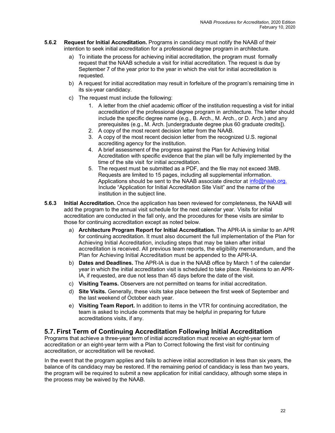- **5.6.2 Request for Initial Accreditation.** Programs in candidacy must notify the NAAB of their intention to seek initial accreditation for a professional degree program in architecture.
	- a) To initiate the process for achieving initial accreditation, the program must formally request that the NAAB schedule a visit for initial accreditation. The request is due by September 7 of the year prior to the year in which the visit for initial accreditation is requested.
	- b) A request for initial accreditation may result in forfeiture of the program's remaining time in its six-year candidacy.
	- c) The request must include the following:
		- 1. A letter from the chief academic officer of the institution requesting a visit for initial accreditation of the professional degree program in architecture. The letter should include the specific degree name (e.g., B. Arch., M. Arch., or D. Arch.) and any prerequisites (e.g., M. Arch. [undergraduate degree plus 60 graduate credits]).
		- 2. A copy of the most recent decision letter from the NAAB.
		- 3. A copy of the most recent decision letter from the recognized U.S. regional accrediting agency for the institution.
		- 4. A brief assessment of the progress against the Plan for Achieving Initial Accreditation with specific evidence that the plan will be fully implemented by the time of the site visit for initial accreditation.
		- 5. The request must be submitted as a PDF, and the file may not exceed 3MB. Requests are limited to 15 pages, including all supplemental information. Applications should be sent to the NAAB associate director at [info@naab.org.](mailto:info@naab.org) Include "Application for Initial Accreditation Site Visit" and the name of the institution in the subject line.
- **5.6.3 Initial Accreditation.** Once the application has been reviewed for completeness, the NAAB will add the program to the annual visit schedule for the next calendar year. Visits for initial accreditation are conducted in the fall only, and the procedures for these visits are similar to those for continuing accreditation except as noted below.
	- a) **Architecture Program Report for Initial Accreditation.** The APR-IA is similar to an APR for continuing accreditation. It must also document the full implementation of the Plan for Achieving Initial Accreditation, including steps that may be taken after initial accreditation is received. All previous team reports, the eligibility memorandum, and the Plan for Achieving Initial Accreditation must be appended to the APR-IA.
	- b) **Dates and Deadlines.** The APR-IA is due in the NAAB office by March 1 of the calendar year in which the initial accreditation visit is scheduled to take place. Revisions to an APR-IA, if requested, are due not less than 45 days before the date of the visit.
	- c) **Visiting Teams.** Observers are not permitted on teams for initial accreditation.
	- d) **Site Visits.** Generally, these visits take place between the first week of September and the last weekend of October each year.
	- e) **Visiting Team Report.** In addition to items in the VTR for continuing accreditation, the team is asked to include comments that may be helpful in preparing for future accreditations visits, if any.

#### **5.7. First Term of Continuing Accreditation Following Initial Accreditation**

Programs that achieve a three-year term of initial accreditation must receive an eight-year term of accreditation or an eight-year term with a Plan to Correct following the first visit for continuing accreditation, or accreditation will be revoked.

In the event that the program applies and fails to achieve initial accreditation in less than six years, the balance of its candidacy may be restored. If the remaining period of candidacy is less than two years, the program will be required to submit a new application for initial candidacy, although some steps in the process may be waived by the NAAB.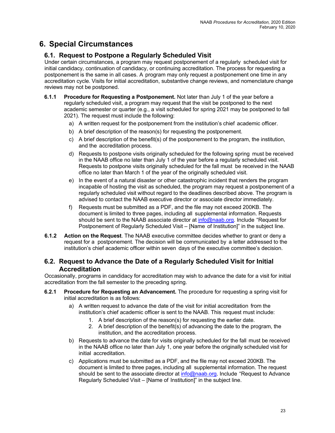## <span id="page-26-0"></span>**6. Special Circumstances**

### **6.1. Request to Postpone a Regularly Scheduled Visit**

Under certain circumstances, a program may request postponement of a regularly scheduled visit for initial candidacy, continuation of candidacy, or continuing accreditation. The process for requesting a postponement is the same in all cases. A program may only request a postponement one time in any accreditation cycle. Visits for initial accreditation, substantive change reviews, and nomenclature change reviews may not be postponed.

- **6.1.1 Procedure for Requesting a Postponement.** Not later than July 1 of the year before a regularly scheduled visit, a program may request that the visit be postponed to the next academic semester or quarter (e.g., a visit scheduled for spring 2021 may be postponed to fall 2021). The request must include the following:
	- a) A written request for the postponement from the institution's chief academic officer.
	- b) A brief description of the reason(s) for requesting the postponement.
	- c) A brief description of the benefit(s) of the postponement to the program, the institution, and the accreditation process.
	- d) Requests to postpone visits originally scheduled for the following spring must be received in the NAAB office no later than July 1 of the year before a regularly scheduled visit. Requests to postpone visits originally scheduled for the fall must be received in the NAAB office no later than March 1 of the year of the originally scheduled visit.
	- e) In the event of a natural disaster or other catastrophic incident that renders the program incapable of hosting the visit as scheduled, the program may request a postponement of a regularly scheduled visit without regard to the deadlines described above. The program is advised to contact the NAAB executive director or associate director immediately.
	- f) Requests must be submitted as a PDF, and the file may not exceed 200KB. The document is limited to three pages, including all supplemental information. Requests should be sent to the NAAB associate director at info@naab.org. Include "Request for Postponement of Regularly Scheduled Visit – [Name of Institution]" in the subject line.
- **6.1.2 Action on the Request**. The NAAB executive committee decides whether to grant or deny a request for a postponement. The decision will be communicated by a letter addressed to the institution's chief academic officer within seven days of the executive committee's decision.

#### **6.2. Request to Advance the Date of a Regularly Scheduled Visit for Initial Accreditation**

Occasionally, programs in candidacy for accreditation may wish to advance the date for a visit for initial accreditation from the fall semester to the preceding spring.

- **6.2.1 Procedure for Requesting an Advancement.** The procedure for requesting a spring visit for initial accreditation is as follows:
	- a) A written request to advance the date of the visit for initial accreditation from the institution's chief academic officer is sent to the NAAB. This request must include:
		- 1. A brief description of the reason(s) for requesting the earlier date.
		- 2. A brief description of the benefit(s) of advancing the date to the program, the institution, and the accreditation process.
	- b) Requests to advance the date for visits originally scheduled for the fall must be received in the NAAB office no later than July 1, one year before the originally scheduled visit for initial accreditation.
	- c) Applications must be submitted as a PDF, and the file may not exceed 200KB. The document is limited to three pages, including all supplemental information. The request should be sent to the associate director at info@naab.org. Include "Request to Advance Regularly Scheduled Visit – [Name of Institution]" in the subject line.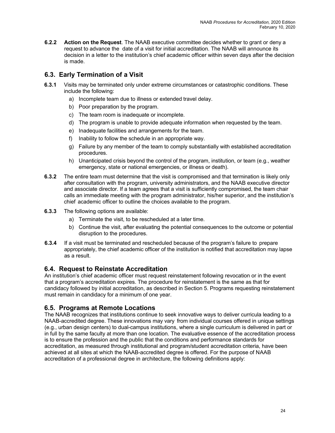**6.2.2 Action on the Request**. The NAAB executive committee decides whether to grant or deny a request to advance the date of a visit for initial accreditation. The NAAB will announce its decision in a letter to the institution's chief academic officer within seven days after the decision is made.

### **6.3. Early Termination of a Visit**

- **6.3.1** Visits may be terminated only under extreme circumstances or catastrophic conditions. These include the following:
	- a) Incomplete team due to illness or extended travel delay.
	- b) Poor preparation by the program.
	- c) The team room is inadequate or incomplete.
	- d) The program is unable to provide adequate information when requested by the team.
	- e) Inadequate facilities and arrangements for the team.
	- f) Inability to follow the schedule in an appropriate way.
	- g) Failure by any member of the team to comply substantially with established accreditation procedures.
	- h) Unanticipated crisis beyond the control of the program, institution, or team (e.g., weather emergency, state or national emergencies, or illness or death).
- **6.3.2** The entire team must determine that the visit is compromised and that termination is likely only after consultation with the program, university administrators, and the NAAB executive director and associate director. If a team agrees that a visit is sufficiently compromised, the team chair calls an immediate meeting with the program administrator, his/her superior, and the institution's chief academic officer to outline the choices available to the program.
- **6.3.3** The following options are available:
	- a) Terminate the visit, to be rescheduled at a later time.
	- b) Continue the visit, after evaluating the potential consequences to the outcome or potential disruption to the procedures.
- **6.3.4** If a visit must be terminated and rescheduled because of the program's failure to prepare appropriately, the chief academic officer of the institution is notified that accreditation may lapse as a result.

#### **6.4. Request to Reinstate Accreditation**

An institution's chief academic officer must request reinstatement following revocation or in the event that a program's accreditation expires. The procedure for reinstatement is the same as that for candidacy followed by initial accreditation, as described in Section 5. Programs requesting reinstatement must remain in candidacy for a minimum of one year.

#### **6.5. Programs at Remote Locations**

The NAAB recognizes that institutions continue to seek innovative ways to deliver curricula leading to a NAAB-accredited degree. These innovations may vary from individual courses offered in unique settings (e.g., urban design centers) to dual-campus institutions, where a single curriculum is delivered in part or in full by the same faculty at more than one location. The evaluative essence of the accreditation process is to ensure the profession and the public that the conditions and performance standards for accreditation, as measured through institutional and program/student accreditation criteria, have been achieved at all sites at which the NAAB-accredited degree is offered. For the purpose of NAAB accreditation of a professional degree in architecture, the following definitions apply: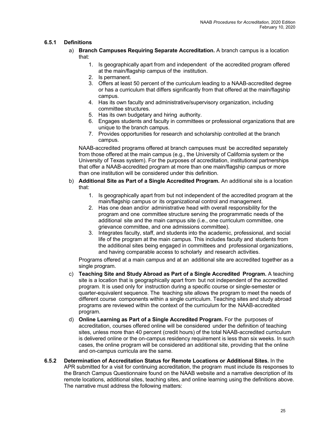#### **6.5.1 Definitions**

- a) **Branch Campuses Requiring Separate Accreditation.** A branch campus is a location that:
	- 1. Is geographically apart from and independent of the accredited program offered at the main/flagship campus of the institution.
	- 2. Is permanent.
	- 3. Offers at least 50 percent of the curriculum leading to a NAAB-accredited degree or has a curriculum that differs significantly from that offered at the main/flagship campus.
	- 4. Has its own faculty and administrative/supervisory organization, including committee structures.
	- 5. Has its own budgetary and hiring authority.
	- 6. Engages students and faculty in committees or professional organizations that are unique to the branch campus.
	- 7. Provides opportunities for research and scholarship controlled at the branch campus.

NAAB-accredited programs offered at branch campuses must be accredited separately from those offered at the main campus (e.g., the University of California system or the University of Texas system). For the purposes of accreditation, institutional partnerships that offer a NAAB-accredited program at more than one main/flagship campus or more than one institution will be considered under this definition.

- b) **Additional Site as Part of a Single Accredited Program.** An additional site is a location that:
	- 1. Is geographically apart from but not independent of the accredited program at the main/flagship campus or its organizational control and management.
	- 2. Has one dean and/or administrative head with overall responsibility for the program and one committee structure serving the programmatic needs of the additional site and the main campus site (i.e., one curriculum committee, one grievance committee, and one admissions committee).
	- 3. Integrates faculty, staff, and students into the academic, professional, and social life of the program at the main campus. This includes faculty and students from the additional sites being engaged in committees and professional organizations, and having comparable access to scholarly and research activities.

Programs offered at a main campus and at an additional site are accredited together as a single program.

- c) **Teaching Site and Study Abroad as Part of a Single Accredited Program.** A teaching site is a location that is geographically apart from but not independent of the accredited program. It is used only for instruction during a specific course or single-semester or quarter-equivalent sequence. The teaching site allows the program to meet the needs of different course components within a single curriculum. Teaching sites and study abroad programs are reviewed within the context of the curriculum for the NAAB-accredited program.
- d) **Online Learning as Part of a Single Accredited Program.** For the purposes of accreditation, courses offered online will be considered under the definition of teaching sites, unless more than 40 percent (credit hours) of the total NAAB-accredited curriculum is delivered online or the on-campus residency requirement is less than six weeks. In such cases, the online program will be considered an additional site, providing that the online and on-campus curricula are the same.
- **6.5.2 Determination of Accreditation Status for Remote Locations or Additional Sites.** In the APR submitted for a visit for continuing accreditation, the program must include its responses to the Branch Campus Questionnaire found on the NAAB website and a narrative description of its remote locations, additional sites, teaching sites, and online learning using the definitions above. The narrative must address the following matters: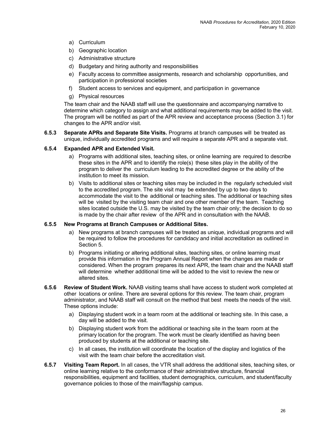- a) Curriculum
- b) Geographic location
- c) Administrative structure
- d) Budgetary and hiring authority and responsibilities
- e) Faculty access to committee assignments, research and scholarship opportunities, and participation in professional societies
- f) Student access to services and equipment, and participation in governance
- g) Physical resources

The team chair and the NAAB staff will use the questionnaire and accompanying narrative to determine which category to assign and what additional requirements may be added to the visit. The program will be notified as part of the APR review and acceptance process (Section 3.1) for changes to the APR and/or visit.

**6.5.3 Separate APRs and Separate Site Visits.** Programs at branch campuses will be treated as unique, individually accredited programs and will require a separate APR and a separate visit.

#### **6.5.4 Expanded APR and Extended Visit.**

- a) Programs with additional sites, teaching sites, or online learning are required to describe these sites in the APR and to identify the role(s) these sites play in the ability of the program to deliver the curriculum leading to the accredited degree or the ability of the institution to meet its mission.
- b) Visits to additional sites or teaching sites may be included in the regularly scheduled visit to the accredited program. The site visit may be extended by up to two days to accommodate the visit to the additional or teaching sites. The additional or teaching sites will be visited by the visiting team chair and one other member of the team. Teaching sites located outside the U.S. may be visited by the team chair only; the decision to do so is made by the chair after review of the APR and in consultation with the NAAB.

#### **6.5.5 New Programs at Branch Campuses or Additional Sites.**

- a) New programs at branch campuses will be treated as unique, individual programs and will be required to follow the procedures for candidacy and initial accreditation as outlined in Section 5.
- b) Programs initiating or altering additional sites, teaching sites, or online learning must provide this information in the Program Annual Report when the changes are made or considered. When the program prepares its next APR, the team chair and the NAAB staff will determine whether additional time will be added to the visit to review the new or altered sites.
- **6.5.6 Review of Student Work.** NAAB visiting teams shall have access to student work completed at other locations or online. There are several options for this review. The team chair, program administrator, and NAAB staff will consult on the method that best meets the needs of the visit. These options include:
	- a) Displaying student work in a team room at the additional or teaching site. In this case, a day will be added to the visit.
	- b) Displaying student work from the additional or teaching site in the team room at the primary location for the program. The work must be clearly identified as having been produced by students at the additional or teaching site.
	- c) In all cases, the institution will coordinate the location of the display and logistics of the visit with the team chair before the accreditation visit.
- **6.5.7 Visiting Team Report.** In all cases, the VTR shall address the additional sites, teaching sites, or online learning relative to the conformance of their administrative structure, financial responsibilities, equipment and facilities, student demographics, curriculum, and student/faculty governance policies to those of the main/flagship campus.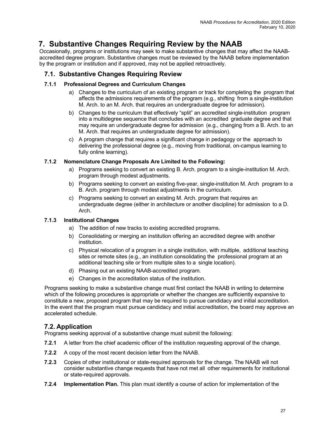### <span id="page-30-0"></span>**7. Substantive Changes Requiring Review by the NAAB**

Occasionally, programs or institutions may seek to make substantive changes that may affect the NAABaccredited degree program. Substantive changes must be reviewed by the NAAB before implementation by the program or institution and if approved, may not be applied retroactively.

#### **7.1. Substantive Changes Requiring Review**

#### **7.1.1 Professional Degrees and Curriculum Changes**

- a) Changes to the curriculum of an existing program or track for completing the program that affects the admissions requirements of the program (e.g., shifting from a single-institution M. Arch. to an M. Arch. that requires an undergraduate degree for admission).
- b) Changes to the curriculum that effectively "split" an accredited single-institution program into a multidegree sequence that concludes with an accredited graduate degree and that may require an undergraduate degree for admission (e.g., changing from a B. Arch. to an M. Arch. that requires an undergraduate degree for admission).
- c) A program change that requires a significant change in pedagogy or the approach to delivering the professional degree (e.g., moving from traditional, on-campus learning to fully online learning).

#### **7.1.2 Nomenclature Change Proposals Are Limited to the Following:**

- a) Programs seeking to convert an existing B. Arch. program to a single-institution M. Arch. program through modest adjustments.
- b) Programs seeking to convert an existing five-year, single-institution M. Arch program to a B. Arch. program through modest adjustments in the curriculum.
- c) Programs seeking to convert an existing M. Arch. program that requires an undergraduate degree (either in architecture or another discipline) for admission to a D. Arch.

#### **7.1.3 Institutional Changes**

- a) The addition of new tracks to existing accredited programs.
- b) Consolidating or merging an institution offering an accredited degree with another institution.
- c) Physical relocation of a program in a single institution, with multiple, additional teaching sites or remote sites (e.g., an institution consolidating the professional program at an additional teaching site or from multiple sites to a single location).
- d) Phasing out an existing NAAB-accredited program.
- e) Changes in the accreditation status of the institution.

Programs seeking to make a substantive change must first contact the NAAB in writing to determine which of the following procedures is appropriate or whether the changes are sufficiently expansive to constitute a new, proposed program that may be required to pursue candidacy and initial accreditation. In the event that the program must pursue candidacy and initial accreditation, the board may approve an accelerated schedule.

#### **7.2. Application**

Programs seeking approval of a substantive change must submit the following:

- **7.2.1** A letter from the chief academic officer of the institution requesting approval of the change.
- **7.2.2** A copy of the most recent decision letter from the NAAB.
- **7.2.3** Copies of other institutional or state-required approvals for the change. The NAAB will not consider substantive change requests that have not met all other requirements for institutional or state-required approvals.
- **7.2.4 Implementation Plan.** This plan must identify a course of action for implementation of the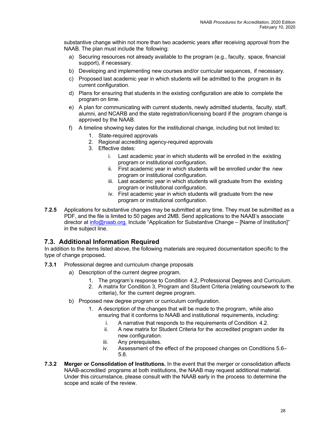substantive change within not more than two academic years after receiving approval from the NAAB. The plan must include the following:

- a) Securing resources not already available to the program (e.g., faculty, space, financial support), if necessary.
- b) Developing and implementing new courses and/or curricular sequences, if necessary.
- c) Proposed last academic year in which students will be admitted to the program in its current configuration.
- d) Plans for ensuring that students in the existing configuration are able to complete the program on time.
- e) A plan for communicating with current students, newly admitted students, faculty, staff, alumni, and NCARB and the state registration/licensing board if the program change is approved by the NAAB.
- f) A timeline showing key dates for the institutional change, including but not limited to:
	- 1. State-required approvals
	- 2. Regional accrediting agency-required approvals
	- 3. Effective dates:
		- i. Last academic year in which students will be enrolled in the existing program or institutional configuration.
		- ii. First academic year in which students will be enrolled under the new program or institutional configuration.
		- iii. Last academic year in which students will graduate from the existing program or institutional configuration.
		- iv. First academic year in which students will graduate from the new program or institutional configuration.
- **7.2.5** Applications for substantive changes may be submitted at any time. They must be submitted as a PDF, and the file is limited to 50 pages and 2MB. Send applications to the NAAB's associate director at info@naab.org. Include "Application for Substantive Change – [Name of Institution]" in the subject line.

**7.3. Additional Information Required**<br>In addition to the items listed above, the following materials are required documentation specific to the type of change proposed**.**

- **7.3.1** Professional degree and curriculum change proposals
	- a) Description of the current degree program.
		- 1. The program's response to Condition 4.2, Professional Degrees and Curriculum.
		- 2. A matrix for Condition 3, Program and Student Criteria (relating coursework to the criteria), for the current degree program.
	- b) Proposed new degree program or curriculum configuration.
		- 1. A description of the changes that will be made to the program, while also ensuring that it conforms to NAAB and institutional requirements, including:
			- i. A narrative that responds to the requirements of Condition 4.2.
			- ii. A new matrix for Student Criteria for the accredited program under its new configuration.
			- iii. Any prerequisites.
			- iv. Assessment of the effect of the proposed changes on Conditions 5.6– 5.8.
- **7.3.2 Merger or Consolidation of Institutions.** In the event that the merger or consolidation affects NAAB-accredited programs at both institutions, the NAAB may request additional material. Under this circumstance, please consult with the NAAB early in the process to determine the scope and scale of the review.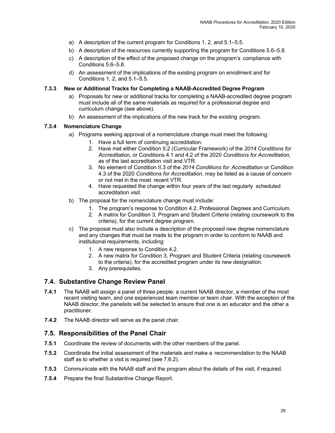- a) A description of the current program for Conditions 1, 2, and 5.1–5.5.
- b) A description of the resources currently supporting the program for Conditions 5.6–5.8.
- c) A description of the effect of the proposed change on the program's compliance with Conditions 5.6–5.8*.*
- d) An assessment of the implications of the existing program on enrollment and for Conditions 1, 2, and 5.1–5.5.

#### **7.3.3 New or Additional Tracks for Completing a NAAB-Accredited Degree Program**

- a) Proposals for new or additional tracks for completing a NAAB-accredited degree program must include all of the same materials as required for a professional degree and curriculum change (see above).
- b) An assessment of the implications of the new track for the existing program.

#### **7.3.4 Nomenclature Change**

- a) Programs seeking approval of a nomenclature change must meet the following:
	- 1. Have a full term of continuing accreditation.
	- 2. Have met either Condition II.2 (Curricular Framework) of the *2014 Conditions for Accreditation,* or Conditions 4.1 and 4.2 of the 2020 *Conditions for Accreditation,*  as of the last accreditation visit and VTR.
	- 3. No element of Condition II.3 of the *2014 Conditions for Accreditation* or Condition 4.3 of the 2020 *Conditions for Accreditation*, may be listed as a cause of concern or not met in the most recent VTR.
	- 4. Have requested the change within four years of the last regularly scheduled accreditation visit.
- b) The proposal for the nomenclature change must include:
	- 1. The program's response to Condition 4.2, Professional Degrees and Curriculum.
	- 2. A matrix for Condition 3, Program and Student Criteria (relating coursework to the criteria), for the current degree program.
- c) The proposal must also include a description of the proposed new degree nomenclature and any changes that must be made to the program in order to conform to NAAB and institutional requirements, including:
	- 1. A new response to Condition 4.2.
	- 2. A new matrix for Condition 3, Program and Student Criteria (relating coursework to the criteria), for the accredited program under its new designation.
	- 3. Any prerequisites.

#### **7.4. Substantive Change Review Panel**

- **7.4.1** The NAAB will assign a panel of three people: a current NAAB director, a member of the most recent visiting team, and one experienced team member or team chair. With the exception of the NAAB director, the panelists will be selected to ensure that one is an educator and the other a practitioner.
- **7.4.2** The NAAB director will serve as the panel chair.

#### **7.5. Responsibilities of the Panel Chair**

- **7.5.1** Coordinate the review of documents with the other members of the panel.
- **7.5.2** Coordinate the initial assessment of the materials and make a recommendation to the NAAB staff as to whether a visit is required (see 7.6.2).
- **7.5.3** Communicate with the NAAB staff and the program about the details of the visit, if required.
- **7.5.4** Prepare the final Substantive Change Report.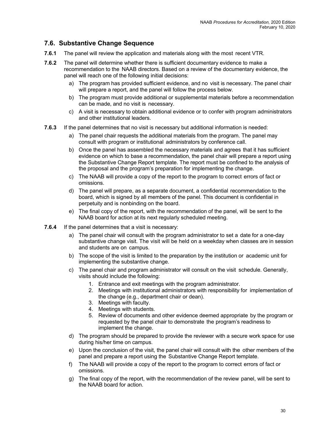#### **7.6. Substantive Change Sequence**

- **7.6.1** The panel will review the application and materials along with the most recent VTR.
- **7.6.2** The panel will determine whether there is sufficient documentary evidence to make a recommendation to the NAAB directors. Based on a review of the documentary evidence, the panel will reach one of the following initial decisions:
	- a) The program has provided sufficient evidence, and no visit is necessary. The panel chair will prepare a report, and the panel will follow the process below.
	- b) The program must provide additional or supplemental materials before a recommendation can be made, and no visit is necessary.
	- c) A visit is necessary to obtain additional evidence or to confer with program administrators and other institutional leaders.
- **7.6.3** If the panel determines that no visit is necessary but additional information is needed:
	- a) The panel chair requests the additional materials from the program. The panel may consult with program or institutional administrators by conference call.
	- b) Once the panel has assembled the necessary materials and agrees that it has sufficient evidence on which to base a recommendation, the panel chair will prepare a report using the Substantive Change Report template. The report must be confined to the analysis of the proposal and the program's preparation for implementing the change.
	- c) The NAAB will provide a copy of the report to the program to correct errors of fact or omissions.
	- d) The panel will prepare, as a separate document, a confidential recommendation to the board, which is signed by all members of the panel. This document is confidential in perpetuity and is nonbinding on the board.
	- e) The final copy of the report, with the recommendation of the panel, will be sent to the NAAB board for action at its next regularly scheduled meeting.
- **7.6.4** If the panel determines that a visit is necessary:
	- a) The panel chair will consult with the program administrator to set a date for a one-day substantive change visit. The visit will be held on a weekday when classes are in session and students are on campus.
	- b) The scope of the visit is limited to the preparation by the institution or academic unit for implementing the substantive change.
	- c) The panel chair and program administrator will consult on the visit schedule. Generally, visits should include the following:
		- 1. Entrance and exit meetings with the program administrator.
		- 2. Meetings with institutional administrators with responsibility for implementation of the change (e.g., department chair or dean).
		- 3. Meetings with faculty.
		- 4. Meetings with students.
		- 5. Review of documents and other evidence deemed appropriate by the program or requested by the panel chair to demonstrate the program's readiness to implement the change.
	- d) The program should be prepared to provide the reviewer with a secure work space for use during his/her time on campus.
	- e) Upon the conclusion of the visit, the panel chair will consult with the other members of the panel and prepare a report using the Substantive Change Report template.
	- f) The NAAB will provide a copy of the report to the program to correct errors of fact or omissions.
	- g) The final copy of the report, with the recommendation of the review panel, will be sent to the NAAB board for action.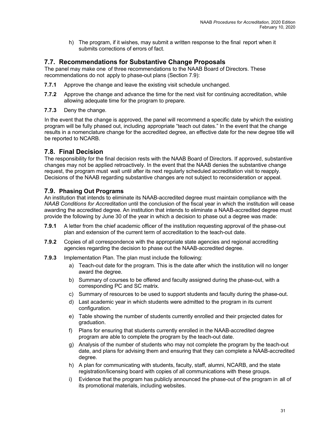h) The program, if it wishes, may submit a written response to the final report when it submits corrections of errors of fact.

### **7.7. Recommendations for Substantive Change Proposals**

The panel may make one of three recommendations to the NAAB Board of Directors. These recommendations do not apply to phase-out plans (Section 7.9):

- **7.7.1** Approve the change and leave the existing visit schedule unchanged.
- **7.7.2** Approve the change and advance the time for the next visit for continuing accreditation, while allowing adequate time for the program to prepare.
- **7.7.3** Deny the change.

In the event that the change is approved, the panel will recommend a specific date by which the existing program will be fully phased out, including appropriate "teach out dates." In the event that the change results in a nomenclature change for the accredited degree, an effective date for the new degree title will be reported to NCARB.

#### **7.8. Final Decision**

The responsibility for the final decision rests with the NAAB Board of Directors. If approved, substantive changes may not be applied retroactively. In the event that the NAAB denies the substantive change request, the program must wait until after its next regularly scheduled accreditation visit to reapply. Decisions of the NAAB regarding substantive changes are not subject to reconsideration or appeal.

#### **7.9. Phasing Out Programs**

An institution that intends to eliminate its NAAB-accredited degree must maintain compliance with the *NAAB Conditions for Accreditation* until the conclusion of the fiscal year in which the institution will cease awarding the accredited degree. An institution that intends to eliminate a NAAB-accredited degree must provide the following by June 30 of the year in which a decision to phase out a degree was made:

- **7.9.1** A letter from the chief academic officer of the institution requesting approval of the phase-out plan and extension of the current term of accreditation to the teach-out date.
- **7.9.2** Copies of all correspondence with the appropriate state agencies and regional accrediting agencies regarding the decision to phase out the NAAB-accredited degree.
- **7.9.3** Implementation Plan. The plan must include the following:
	- a) Teach-out date for the program. This is the date after which the institution will no longer award the degree.
	- b) Summary of courses to be offered and faculty assigned during the phase-out, with a corresponding PC and SC matrix.
	- c) Summary of resources to be used to support students and faculty during the phase-out.
	- d) Last academic year in which students were admitted to the program in its current configuration.
	- e) Table showing the number of students currently enrolled and their projected dates for graduation.
	- f) Plans for ensuring that students currently enrolled in the NAAB-accredited degree program are able to complete the program by the teach-out date.
	- g) Analysis of the number of students who may not complete the program by the teach-out date, and plans for advising them and ensuring that they can complete a NAAB-accredited degree.
	- h) A plan for communicating with students, faculty, staff, alumni, NCARB, and the state registration/licensing board with copies of all communications with these groups.
	- i) Evidence that the program has publicly announced the phase-out of the program in all of its promotional materials, including websites.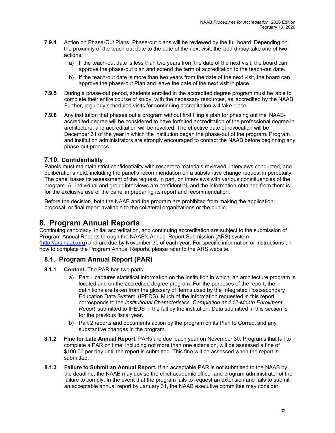- <span id="page-35-0"></span>**7.9.4** Action on Phase-Out Plans. Phase-out plans will be reviewed by the full board. Depending on the proximity of the teach-out date to the date of the next visit, the board may take one of two actions:
	- a) If the teach-out date is less than two years from the date of the next visit, the board can approve the phase-out plan and extend the term of accreditation to the teach-out date.
	- b) If the teach-out date is more than two years from the date of the next visit, the board can approve the phase-out Plan and leave the date of the next visit in place.
- **7.9.5** During a phase-out period, students enrolled in the accredited degree program must be able to complete their entire course of study, with the necessary resources, as accredited by the NAAB. Further, regularly scheduled visits for continuing accreditation will take place.
- **7.9.6** Any institution that phases out a program without first filing a plan for phasing out the NAABaccredited degree will be considered to have forfeited accreditation of the professional degree in architecture, and accreditation will be revoked. The effective date of revocation will be December 31 of the year in which the institution began the phase-out of the program. Program and institution administrators are strongly encouraged to contact the NAAB before beginning any phase-out process.

#### **7.10. Confidentiality**

Panels must maintain strict confidentiality with respect to materials reviewed, interviews conducted, and deliberations held, including the panel's recommendation on a substantive change request in perpetuity. The panel bases its assessment of the request, in part, on interviews with various constituencies of the program. All individual and group interviews are confidential, and the information obtained from them is for the exclusive use of the panel in preparing its report and recommendation.

Before the decision, both the NAAB and the program are prohibited from making the application, proposal, or final report available to the collateral organizations or the public.

### **8. Program Annual Reports**

Continuing candidacy, initial accreditation, and continuing accreditation are subject to the submission of Program Annual Reports through the NAAB's Annual Report Submission (ARS) system (http://ars.naab.org) and are due by November 30 of each year. For specific information or instructions on how to complete the Program Annual Reports, please refer to the ARS website.

#### **8.1. Program Annual Report (PAR)**

- **8.1.1 Content.** The PAR has two parts:
	- a) Part 1 captures statistical information on the institution in which an architecture program is located and on the accredited degree program. For the purposes of the report, the definitions are taken from the glossary of terms used by the Integrated Postsecondary Education Data System (IPEDS). Much of the information requested in this report corresponds to the *Institutional Characteristics, Completion and 12-Month Enrollment Report* submitted to IPEDS in the fall by the institution. Data submitted in this section is for the previous fiscal year.
	- b) Part 2 reports and documents action by the program on its Plan to Correct and any substantive changes in the program.
- **8.1.2 Fine for Late Annual Report.** PARs are due each year on November 30. Programs that fail to complete a PAR on time, including not more than one extension, will be assessed a fine of \$100.00 per day until the report is submitted. This fine will be assessed when the report is submitted.
- **8.1.3 Failure to Submit an Annual Report.** If an acceptable PAR is not submitted to the NAAB by the deadline, the NAAB may advise the chief academic officer and program administrator of the failure to comply. In the event that the program fails to request an extension and fails to submit an acceptable annual report by January 31, the NAAB executive committee may consider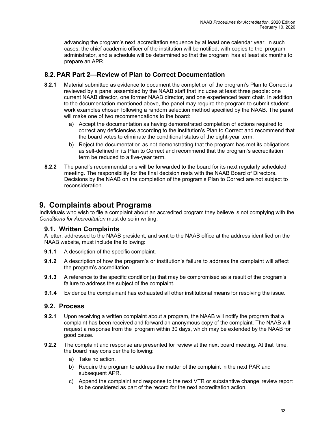<span id="page-36-0"></span>advancing the program's next accreditation sequence by at least one calendar year. In such cases, the chief academic officer of the institution will be notified, with copies to the program administrator, and a schedule will be determined so that the program has at least six months to prepare an APR*.*

### **8.2. PAR Part 2—Review of Plan to Correct Documentation**

- **8.2.1** Material submitted as evidence to document the completion of the program's Plan to Correct is reviewed by a panel assembled by the NAAB staff that includes at least three people: one current NAAB director, one former NAAB director, and one experienced team chair. In addition to the documentation mentioned above, the panel may require the program to submit student work examples chosen following a random selection method specified by the NAAB. The panel will make one of two recommendations to the board:
	- a) Accept the documentation as having demonstrated completion of actions required to correct any deficiencies according to the institution's Plan to Correct and recommend that the board votes to eliminate the conditional status of the eight-year term.
	- b) Reject the documentation as not demonstrating that the program has met its obligations as self-defined in its Plan to Correct and recommend that the program's accreditation term be reduced to a five-year term.
- **8.2.2** The panel's recommendations will be forwarded to the board for its next regularly scheduled meeting. The responsibility for the final decision rests with the NAAB Board of Directors. Decisions by the NAAB on the completion of the program's Plan to Correct are not subject to reconsideration.

### **9. Complaints about Programs**

Individuals who wish to file a complaint about an accredited program they believe is not complying with the *Conditions for Accreditation* must do so in writing.

#### **9.1. Written Complaints**

A letter, addressed to the NAAB president, and sent to the NAAB office at the address identified on the NAAB website, must include the following:

- **9.1.1** A description of the specific complaint.
- **9.1.2** A description of how the program's or institution's failure to address the complaint will affect the program's accreditation.
- **9.1.3** A reference to the specific condition(s) that may be compromised as a result of the program's failure to address the subject of the complaint.
- **9.1.4** Evidence the complainant has exhausted all other institutional means for resolving the issue.

#### **9.2. Process**

- **9.2.1** Upon receiving a written complaint about a program, the NAAB will notify the program that a complaint has been received and forward an anonymous copy of the complaint. The NAAB will request a response from the program within 30 days, which may be extended by the NAAB for good cause.
- **9.2.2** The complaint and response are presented for review at the next board meeting. At that time, the board may consider the following:
	- a) Take no action.
	- b) Require the program to address the matter of the complaint in the next PAR and subsequent APR.
	- c) Append the complaint and response to the next VTR or substantive change review report to be considered as part of the record for the next accreditation action.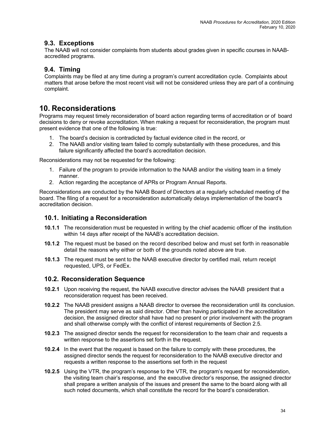#### <span id="page-37-0"></span>**9.3. Exceptions**

The NAAB will not consider complaints from students about grades given in specific courses in NAABaccredited programs.

### **9.4. Timing**

Complaints may be filed at any time during a program's current accreditation cycle. Complaints about matters that arose before the most recent visit will not be considered unless they are part of a continuing complaint.

### **10. Reconsiderations**

Programs may request timely reconsideration of board action regarding terms of accreditation or of board decisions to deny or revoke accreditation. When making a request for reconsideration, the program must present evidence that one of the following is true:

- 1. The board's decision is contradicted by factual evidence cited in the record, or
- 2. The NAAB and/or visiting team failed to comply substantially with these procedures, and this failure significantly affected the board's accreditation decision.

Reconsiderations may not be requested for the following:

- 1. Failure of the program to provide information to the NAAB and/or the visiting team in a timely manner.
- 2. Action regarding the acceptance of APRs or Program Annual Reports.

Reconsiderations are conducted by the NAAB Board of Directors at a regularly scheduled meeting of the board. The filing of a request for a reconsideration automatically delays implementation of the board's accreditation decision.

#### **10.1. Initiating a Reconsideration**

- **10.1.1** The reconsideration must be requested in writing by the chief academic officer of the institution within 14 days after receipt of the NAAB's accreditation decision.
- **10.1.2** The request must be based on the record described below and must set forth in reasonable detail the reasons why either or both of the grounds noted above are true.
- **10.1.3** The request must be sent to the NAAB executive director by certified mail, return receipt requested, UPS, or FedEx.

#### **10.2. Reconsideration Sequence**

- **10.2.1** Upon receiving the request, the NAAB executive director advises the NAAB president that a reconsideration request has been received.
- **10.2.2** The NAAB president assigns a NAAB director to oversee the reconsideration until its conclusion. The president may serve as said director. Other than having participated in the accreditation decision, the assigned director shall have had no present or prior involvement with the program and shall otherwise comply with the conflict of interest requirements of Section 2.5.
- **10.2.3** The assigned director sends the request for reconsideration to the team chair and requests a written response to the assertions set forth in the request.
- **10.2.4** In the event that the request is based on the failure to comply with these procedures, the assigned director sends the request for reconsideration to the NAAB executive director and requests a written response to the assertions set forth in the request
- **10.2.5** Using the VTR, the program's response to the VTR*,* the program's request for reconsideration, the visiting team chair's response, and the executive director's response, the assigned director shall prepare a written analysis of the issues and present the same to the board along with all such noted documents, which shall constitute the record for the board's consideration.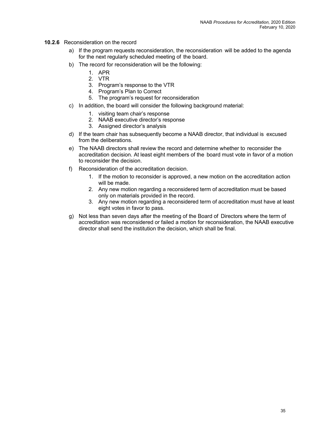- **10.2.6** Reconsideration on the record
	- a) If the program requests reconsideration, the reconsideration will be added to the agenda for the next regularly scheduled meeting of the board.
	- b) The record for reconsideration will be the following:
		- 1. APR
		- 2. VTR
		- 3. Program's response to the VTR
		- 4. Program's Plan to Correct
		- 5. The program's request for reconsideration
	- c) In addition, the board will consider the following background material:
		- 1. visiting team chair's response
		- 2. NAAB executive director's response
		- 3. Assigned director's analysis
	- d) If the team chair has subsequently become a NAAB director, that individual is excused from the deliberations.
	- e) The NAAB directors shall review the record and determine whether to reconsider the accreditation decision. At least eight members of the board must vote in favor of a motion to reconsider the decision.
	- f) Reconsideration of the accreditation decision.
		- 1. If the motion to reconsider is approved, a new motion on the accreditation action will be made.
		- 2. Any new motion regarding a reconsidered term of accreditation must be based only on materials provided in the record.
		- 3. Any new motion regarding a reconsidered term of accreditation must have at least eight votes in favor to pass.
	- g) Not less than seven days after the meeting of the Board of Directors where the term of accreditation was reconsidered or failed a motion for reconsideration, the NAAB executive director shall send the institution the decision, which shall be final.